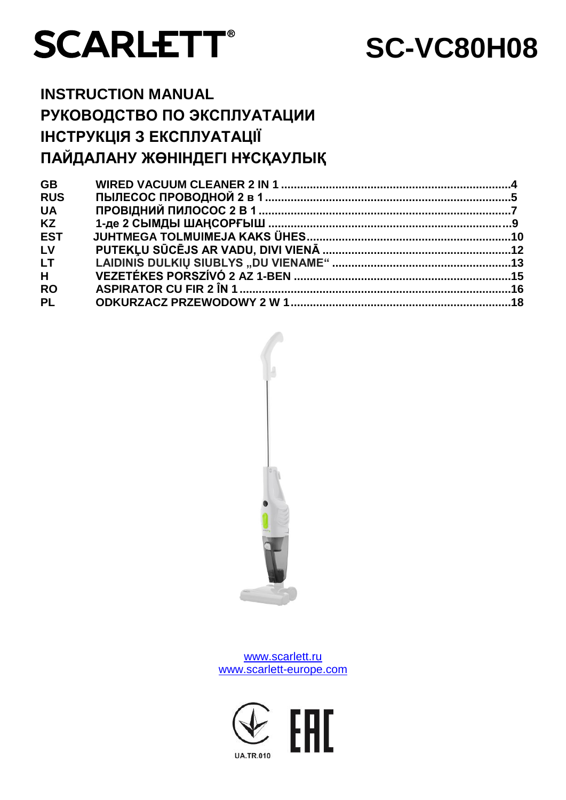

# **SC-VC80H08**

## **INSTRUCTION MANUAL РУКОВОДСТВО ПО ЭКСПЛУАТАЦИИ ІНСТРУКЦІЯ З ЕКСПЛУАТАЦІЇ ПАЙДАЛАНУ ЖӨНІНДЕГІ НҰСҚАУЛЫҚ**

| <b>GB</b>  |  |
|------------|--|
| <b>RUS</b> |  |
| <b>UA</b>  |  |
| <b>KZ</b>  |  |
| <b>EST</b> |  |
| LV         |  |
| <b>LT</b>  |  |
| H          |  |
| <b>RO</b>  |  |
| <b>PL</b>  |  |
|            |  |



[www.scarlett.ru](http://www.scarlett.ru/) [www.scarlett-europe.com](http://www.scarlett-europe.com/)

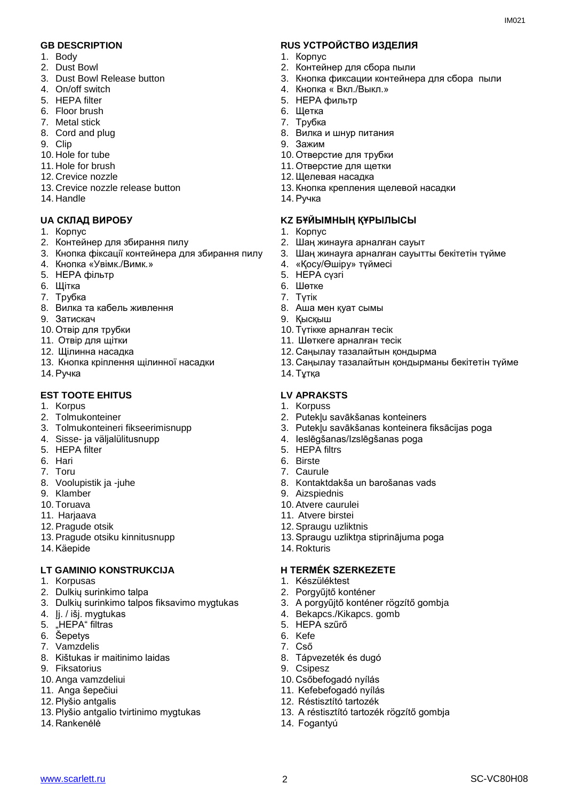- 1. Body
- 2. Dust Bowl
- 3. Dust Bowl Release button
- 4. On/off switch
- 5. HEPA filter
- 6. Floor brush
- 7. Metal stick
- 8. Cord and plug
- 9. Clip
- 10. Hole for tube
- 11. Hole for brush
- 12. Crevice nozzle
- 13. Crevice nozzle release button
- 14. Handle

#### 1. Корпус

- 2. Контейнер для збирання пилу
- 3. Кнопка фіксації контейнера для збирання пилу
- 4. Кнопка «Увімк./Вимк.»
- 5. HEPA фільтр
- 6. Щітка
- 7. Трубка
- 8. Вилка та кабель живлення
- 9. Затискач
- 10. Отвір для трубки
- 11. Отвір для щітки
- 12. Щілинна насадка
- 13. Кнопка кріплення щілинної насадки
- 14. Ручка

#### **EST TOOTE EHITUS LV APRAKSTS**

- 1. Korpus
- 2. Tolmukonteiner
- 3. Tolmukonteineri fikseerimisnupp
- 4. Sisse- ja väljalülitusnupp
- 5. HEPA filter
- 6. Hari
- 7. Toru
- 8. Voolupistik ja -juhe
- 9. Klamber
- 10. Toruava
- 11. Hariaava
- 12. Pragude otsik
- 13. Pragude otsiku kinnitusnupp
- 14. Käepide

#### LT GAMINIO KONSTRUKCIJA **HERMÉK SZERKEZETE**

- 1. Korpusas
- 2. Dulkių surinkimo talpa
- 3. Dulkių surinkimo talpos fiksavimo mygtukas
- 4. Įj. / išj. mygtukas
- 5. "HEPA" filtras
- 6. Šepetys
- 7. Vamzdelis
- 8. Kištukas ir maitinimo laidas
- 9. Fiksatorius
- 10. Anga vamzdeliui
- 11. Anga šepečiui
- 12. Plyšio antgalis
- 13. Plyšio antgalio tvirtinimo mygtukas
- 14. Rankenėlė

#### **GB DESCRIPTION RUS УСТРОЙСТВО ИЗДЕЛИЯ**

- 1. Корпус
- 2. Контейнер для сбора пыли
- 3. Кнопка фиксации контейнера для сбора пыли
- 4. Кнопка « Вкл./Выкл.»
- 5. HEPA фильтр
- 6. Щетка
- 7. Трубка
- 8. Вилка и шнур питания
- 9. Зажим
- 10. Отверстие для трубки
- 11. Отверстие для щетки
- 12. Щелевая насадка
- 13. Кнопка крепления щелевой насадки
- 14. Ручка

#### **UA СКЛАД ВИРОБУ KZ БҰЙЫМНЫҢ ҚҰРЫЛЫСЫ**

- 1. Корпус
- 2. Шаң жинауға арналған сауыт
- 3. Шаң жинауға арналған сауытты бекітетін түйме
- 4. «Қосу/Өшіру» түймесі
- 5. HEPA сүзгі
- 6. Шөтке
- 7. Түтік
- 8. Аша мен қуат сымы
- 9. Қысқыш
- 10. Түтікке арналған тесік
- 11. Шөткеге арналған тесік
- 12. Саңылау тазалайтын қондырма
- 13. Саңылау тазалайтын қондырманы бекітетін түйме
- 14. Тұтқа

- 1. Korpuss
- 2. Putekļu savākšanas konteiners
- 3. Putekļu savākšanas konteinera fiksācijas poga
- 4. Ieslēgšanas/Izslēgšanas poga
- 5. HEPA filtrs
- 6. Birste

[www.scarlett.ru](http://www.scarlett.ru/) 2 SC-VC80H08

7. Caurule

14. Rokturis

1. Készüléktest 2. Porgyűjtő konténer

5. HEPA szűrő

6. Kefe 7. Cső

9. Csipesz

14. Fogantyú

10. Atvere caurulei 11. Atvere birstei 12. Spraugu uzliktnis

8. Kontaktdakša un barošanas vads 9. Aizspiednis

13. Spraugu uzliktņa stiprinājuma poga

3. A porgyűjtő konténer rögzítő gombja

13. A réstisztító tartozék rögzítő gombja

4. Bekapcs./Kikapcs. gomb

8. Tápvezeték és dugó

10. Csőbefogadó nyílás 11. Kefebefogadó nyílás 12. Réstisztító tartozék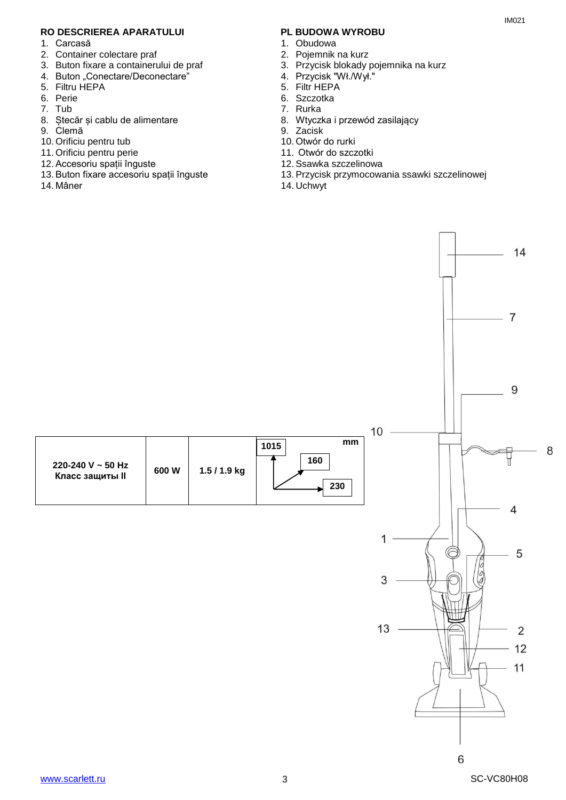#### **RO DESCRIEREA APARATULUI PL BUDOWA WYROBU**

- 1. Carcasă
- 2. Container colectare praf
- 3. Buton fixare a containerului de praf
- 4. Buton "Conectare/Deconectare"
- 5. Filtru HEPA
- 6. Perie
- 7. Tub
- 8. Ștecăr și cablu de alimentare
- 9. Clemă
- 10. Orificiu pentru tub
- 11. Orificiu pentru perie
- 12. Accesoriu spații înguste
- 13. Buton fixare accesoriu spații înguste
- 14. Mâner

- 1. Obudowa
- 2. Pojemnik na kurz
- 3. Przycisk blokady pojemnika na kurz
- 4. Przycisk "Wł./Wył."
- 5. Filtr HEPA
- 6. Szczotka
- 7. Rurka
- 8. Wtyczka i przewód zasilający
- 9. Zacisk
- 10. Otwór do rurki
- 11. Otwór do szczotki
- 12. Ssawka szczelinowa
- 13. Przycisk przymocowania ssawki szczelinowej
- 14. Uchwyt

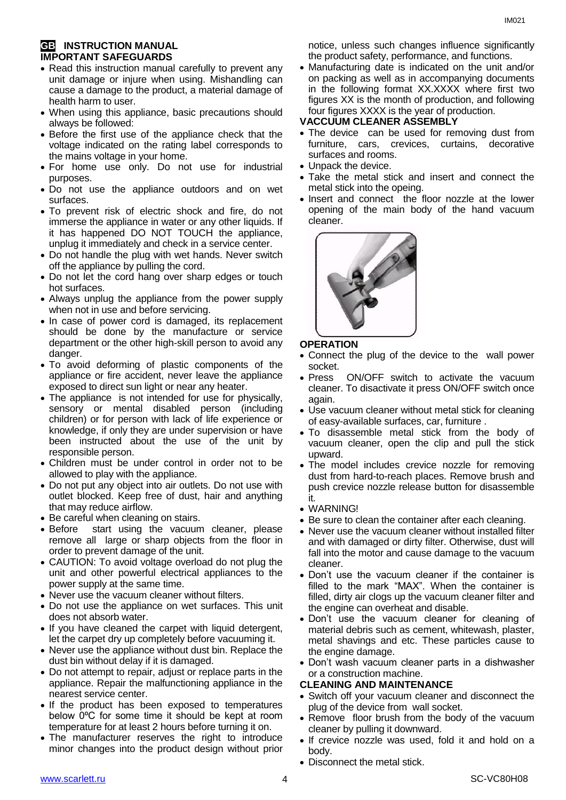#### **GB INSTRUCTION MANUAL IMPORTANT SAFEGUARDS**

- Read this instruction manual carefully to prevent any unit damage or injure when using. Mishandling can cause a damage to the product, a material damage of health harm to user.
- When using this appliance, basic precautions should always be followed:
- Before the first use of the appliance check that the voltage indicated on the rating label corresponds to the mains voltage in your home.
- For home use only. Do not use for industrial purposes.
- Do not use the appliance outdoors and on wet surfaces.
- To prevent risk of electric shock and fire, do not immerse the appliance in water or any other liquids. If it has happened DO NOT TOUCH the appliance, unplug it immediately and check in a service center.
- Do not handle the plug with wet hands. Never switch off the appliance by pulling the cord.
- Do not let the cord hang over sharp edges or touch hot surfaces.
- Always unplug the appliance from the power supply when not in use and before servicing.
- In case of power cord is damaged, its replacement should be done by the manufacture or service department or the other high-skill person to avoid any danger.
- To avoid deforming of plastic components of the appliance or fire accident, never leave the appliance exposed to direct sun light or near any heater.
- The appliance is not intended for use for physically, [sensory or mental disabled](https://www.multitran.ru/c/m.exe?t=5841801_1_2&s1=%F7%E5%EB%EE%E2%E5%EA%20%F1%20%EE%E3%F0%E0%ED%E8%F7%E5%ED%ED%FB%EC%E8%20%E2%EE%E7%EC%EE%E6%ED%EE%F1%F2%FF%EC%E8) person (including children) or for person with lack of life experience or knowledge, if only they are under supervision or have been instructed about the use of the unit by responsible person.
- Children must be under control in order not to be allowed to play with the appliance.
- Do not put any object into air outlets. Do not use with outlet blocked. Keep free of dust, hair and anything that may reduce airflow.
- Be careful when cleaning on stairs.
- Before start using the vacuum cleaner, please remove all large or sharp objects from the floor in order to prevent damage of the unit.
- CAUTION: To avoid voltage overload do not plug the unit and other powerful electrical appliances to the power supply at the same time.
- Never use the vacuum cleaner without filters.
- Do not use the appliance on wet surfaces. This unit does not absorb water.
- If you have cleaned the carpet with liquid detergent, let the carpet dry up completely before vacuuming it.
- Never use the appliance without dust bin. Replace the dust bin without delay if it is damaged.
- Do not attempt to repair, adjust or replace parts in the appliance. Repair the malfunctioning appliance in the nearest service center.
- If the product has been exposed to temperatures below 0ºC for some time it should be kept at room temperature for at least 2 hours before turning it on.
- The manufacturer reserves the right to introduce minor changes into the product design without prior

notice, unless such changes influence significantly the product safety, performance, and functions.

 Manufacturing date is indicated on the unit and/or on packing as well as in accompanying documents in the following format XX.XXXX where first two figures XX is the month of production, and following four figures XXXX is the year of production.

#### **VACCUUM CLEANER ASSEMBLY**

- The device can be used for removing dust from furniture, cars, crevices, curtains, decorative surfaces and rooms.
- Unpack the device.
- Take the metal stick and insert and connect the metal stick into the opeing.
- Insert and connect the floor nozzle at the lower opening of the main body of the hand vacuum cleaner.



#### **OPERATION**

- Connect the plug of the device to the wall power socket.
- Press ON/OFF switch to activate the vacuum cleaner. To disactivate it press ON/OFF switch once again.
- Use vacuum cleaner without metal stick for cleaning of easy-available surfaces, car, furniture .
- To disassemble metal stick from the body of vacuum cleaner, open the clip and pull the stick upward.
- The model includes crevice nozzle for removing dust from hard-to-reach places. Remove brush and push crevice nozzle release button for disassemble it.
- WARNING!
- Be sure to clean the container after each cleaning.
- Never use the vacuum cleaner without installed filter and with damaged or dirty filter. Otherwise, dust will fall into the motor and cause damage to the vacuum cleaner.
- Don't use the vacuum cleaner if the container is filled to the mark "MAX". When the container is filled, dirty air clogs up the vacuum cleaner filter and the engine can overheat and disable.
- Don't use the vacuum cleaner for cleaning of material debris such as cement, whitewash, plaster, metal shavings and etc. These particles cause to the engine damage.
- Don't wash vacuum cleaner parts in a dishwasher or a construction machine.

#### **CLEANING AND MAINTENANCE**

- Switch off your vacuum cleaner and disconnect the plug of the device from wall socket.
- Remove floor brush from the body of the vacuum cleaner by pulling it downward.
- If crevice nozzle was used, fold it and hold on a body.
- Disconnect the metal stick.

IM021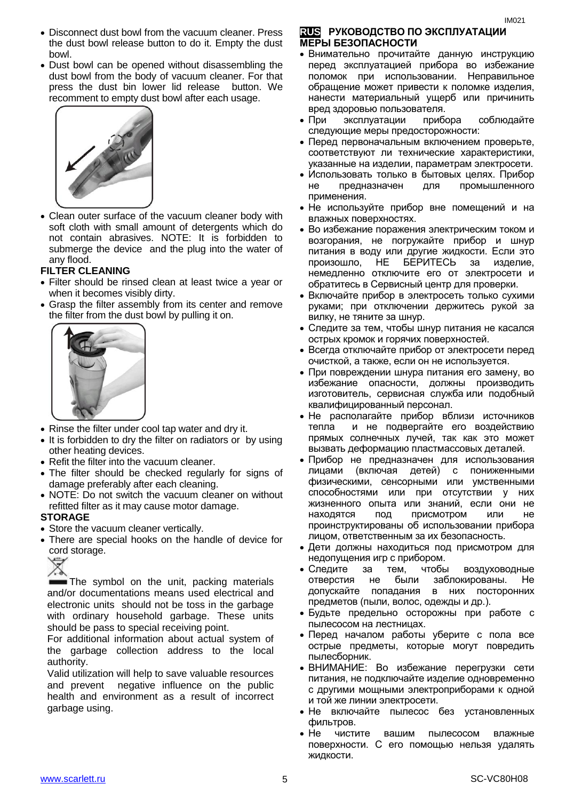- Disconnect dust bowl from the vacuum cleaner. Press the dust bowl release button to do it. Empty the dust bowl.
- Dust bowl can be opened without disassembling the dust bowl from the body of vacuum cleaner. For that press the dust bin lower lid release button. We recomment to empty dust bowl after each usage.



 Clean outer surface of the vacuum cleaner body with soft cloth with small amount of detergents which do not contain abrasives. NOTE: It is forbidden to submerge the device and the plug into the water of any flood.

#### **FILTER CLEANING**

- Filter should be rinsed clean at least twice a year or when it becomes visibly dirty.
- Grasp the filter assembly from its center and remove the filter from the dust bowl by pulling it on.



- Rinse the filter under cool tap water and dry it.
- It is forbidden to dry the filter on radiators or by using other heating devices.
- Refit the filter into the vacuum cleaner.
- The filter should be checked regularly for signs of damage preferably after each cleaning.
- NOTE: Do not switch the vacuum cleaner on without refitted filter as it may cause motor damage.

#### **STORAGE**

- Store the vacuum cleaner vertically.
- There are special hooks on the handle of device for cord storage.



The symbol on the unit, packing materials and/or documentations means used electrical and electronic units should not be toss in the garbage with ordinary household garbage. These units should be pass to special receiving point.

For additional information about actual system of the garbage collection address to the local authority.

Valid utilization will help to save valuable resources and prevent negative influence on the public health and environment as a result of incorrect garbage using.

#### **RUS РУКОВОДСТВО ПО ЭКСПЛУАТАЦИИ МЕРЫ БЕЗОПАСНОСТИ**

- Внимательно прочитайте данную инструкцию перед эксплуатацией прибора во избежание поломок при использовании. Неправильное обращение может привести к поломке изделия, нанести материальный ущерб или причинить вред здоровью пользователя.
- При эксплуатации прибора соблюдайте следующие меры предосторожности:
- Перед первоначальным включением проверьте, соответствуют ли технические характеристики, указанные на изделии, параметрам электросети.
- Использовать только в бытовых целях. Прибор не предназначен для промышленного применения.
- Не используйте прибор вне помещений и на влажных поверхностях.
- Во избежание поражения электрическим током и возгорания, не погружайте прибор и шнур питания в воду или другие жидкости. Если это произошло, НЕ БЕРИТЕСЬ за изделие, немедленно отключите его от электросети и обратитесь в Сервисный центр для проверки.
- Включайте прибор в электросеть только сухими руками; при отключении держитесь рукой за вилку, не тяните за шнур.
- Следите за тем, чтобы шнур питания не касался острых кромок и горячих поверхностей.
- Всегда отключайте прибор от электросети перед очисткой, а также, если он не используется.
- При повреждении шнура питания его замену, во избежание опасности, должны производить изготовитель, сервисная служба или подобный квалифицированный персонал.
- Не располагайте прибор вблизи источников тепла и не подвергайте его воздействию прямых солнечных лучей, так как это может вызвать деформацию пластмассовых деталей.
- Прибор не предназначен для использования лицами (включая детей) с пониженными физическими, сенсорными или умственными способностями или при отсутствии у них жизненного опыта или знаний, если они не находятся под присмотром или не проинструктированы об использовании прибора лицом, ответственным за их безопасность.
- Дети должны находиться под присмотром для недопущения игр с прибором.
- Следите за тем, чтобы воздуховодные отверстия не были заблокированы. Не допускайте попадания в них посторонних предметов (пыли, волос, одежды и др.).
- Будьте предельно осторожны при работе с пылесосом на лестницах.
- Перед началом работы уберите с пола все острые предметы, которые могут повредить пылесборник.
- ВНИМАНИЕ: Во избежание перегрузки сети питания, не подключайте изделие одновременно с другими мощными электроприборами к одной и той же линии электросети.
- Не включайте пылесос без установленных фильтров.
- Не чистите вашим пылесосом влажные поверхности. С его помощью нельзя удалять жидкости.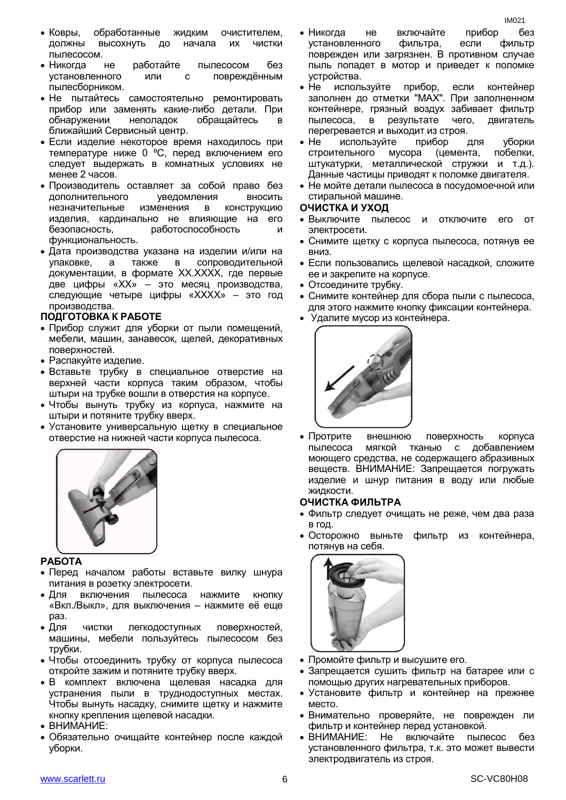- Ковры, обработанные жидким очистителем, должны высохнуть до начала их чистки пылесосом.
- Никогда не работайте пылесосом без установленного или с повреждённым пылесборником.
- Не пытайтесь самостоятельно ремонтировать прибор или заменять какие-либо детали. При обнаружении неполадок обращайтесь ближайший Сервисный центр.
- Если изделие некоторое время находилось при температуре ниже 0 ºC, перед включением его следует выдержать в комнатных условиях не менее 2 часов.
- Производитель оставляет за собой право без дополнительного уведомления вносить незначительные изменения в конструкцию изделия, кардинально не влияющие на его безопасность, работоспособность и функциональность.
- Дата производства указана на изделии и/или на упаковке, а также в сопроводительной документации, в формате XX.XXXX, где первые две цифры «XX» – это месяц производства, следующие четыре цифры «XXXX» – это год производства.

#### **ПОДГОТОВКА К РАБОТЕ**

- Прибор служит для уборки от пыли помещений, мебели, машин, занавесок, щелей, декоративных поверхностей.
- Распакуйте изделие.
- Вставьте трубку в специальное отверстие на верхней части корпуса таким образом, чтобы штыри на трубке вошли в отверстия на корпусе.
- Чтобы вынуть трубку из корпуса, нажмите на штыри и потяните трубку вверх.
- Установите универсальную щетку в специальное отверстие на нижней части корпуса пылесоса.



### **РАБОТА**

- Перед началом работы вставьте вилку шнура питания в розетку электросети.
- Для включения пылесоса нажмите кнопку «Вкл./Выкл», для выключения – нажмите её еще раз.
- Для чистки легкодоступных поверхностей, машины, мебели пользуйтесь пылесосом без трубки.
- Чтобы отсоединить трубку от корпуса пылесоса откройте зажим и потяните трубку вверх.
- В комплект включена щелевая насадка для устранения пыли в труднодоступных местах. Чтобы вынуть насадку, снимите щетку и нажмите кнопку крепления щелевой насадки.
- ВНИМАНИЕ:
- Обязательно очищайте контейнер после каждой уборки.
- Никогда не включайте прибор без установленного фильтра, если фильтр поврежден или загрязнен. В противном случае пыль попадет в мотор и приведет к поломке устройства.
- Не используйте прибор, если контейнер заполнен до отметки "MAX". При заполненном контейнере, грязный воздух забивает фильтр пылесоса, в результате чего, двигатель перегревается и выходит из строя.
- Не используйте прибор для уборки строительного мусора (цемента, побелки, штукатурки, металлической стружки и т.д.). Данные частицы приводят к поломке двигателя.
- Не мойте детали пылесоса в посудомоечной или стиральной машине.

#### **ОЧИСТКА И УХОД**

- Выключите пылесос и отключите его от электросети.
- Снимите щетку с корпуса пылесоса, потянув ее вниз.
- Если пользовались щелевой насадкой, сложите ее и закрепите на корпусе.
- Отсоедините трубку.
- Снимите контейнер для сбора пыли с пылесоса, для этого нажмите кнопку фиксации контейнера.
- Удалите мусор из контейнера.



 Протрите внешнюю поверхность корпуса пылесоса мягкой тканью с добавлением моющего средства, не содержащего абразивных веществ. ВНИМАНИЕ: Запрещается погружать изделие и шнур питания в воду или любые жидкости.

#### **ОЧИСТКА ФИЛЬТРА**

- Фильтр следует очищать не реже, чем два раза в год.
- Осторожно выньте фильтр из контейнера, потянув на себя.



- Промойте фильтр и высушите его.
- Запрещается сушить фильтр на батарее или с помощью других нагревательных приборов.
- Установите фильтр и контейнер на прежнее место.
- Внимательно проверяйте, не поврежден ли фильтр и контейнер перед установкой.
- ВНИМАНИЕ: Не включайте пылесос без установленного фильтра, т.к. это может вывести электродвигатель из строя.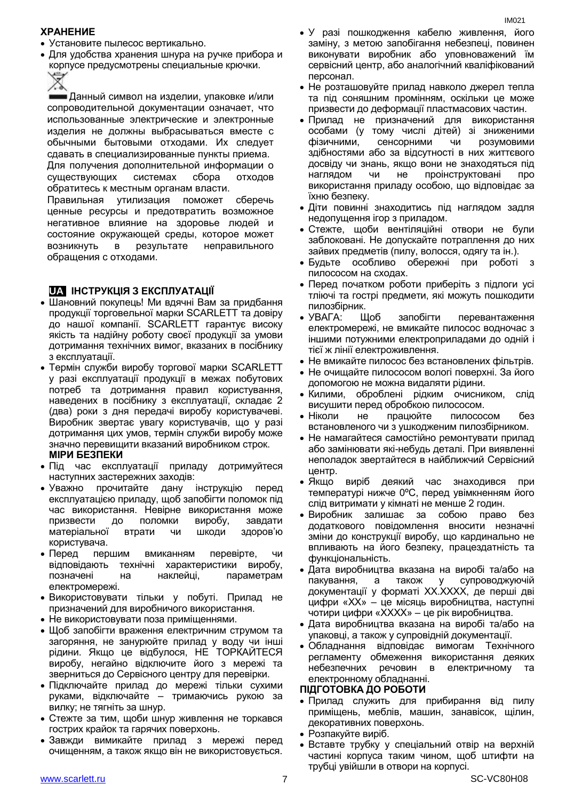#### **ХРАНЕНИЕ**

- Установите пылесос вертикально.
- Для удобства хранения шнура на ручке прибора и корпусе предусмотрены специальные крючки.



Данный символ на изделии, упаковке и/или сопроводительной документации означает, что использованные электрические и электронные изделия не должны выбрасываться вместе с обычными бытовыми отходами. Их следует сдавать в специализированные пункты приема.

Для получения дополнительной информации о существующих системах сбора отходов обратитесь к местным органам власти.

Правильная утилизация поможет сберечь ценные ресурсы и предотвратить возможное негативное влияние на здоровье людей и состояние окружающей среды, которое может возникнуть в результате неправильного обращения с отходами.

#### **UA ІНСТРУКЦІЯ З ЕКСПЛУАТАЦІЇ**

- Шановний покупець! Ми вдячні Вам за придбання продукції торговельної марки SCARLETT та довіру до нашої компанії. SCARLETT гарантує високу якість та надійну роботу своєї продукції за умови дотримання технічних вимог, вказаних в посібнику з експлуатації.
- Термін служби виробу торгової марки SCARLETT у разі експлуатації продукції в межах побутових потреб та дотримання правил користування, наведених в посібнику з експлуатації, складає 2 (два) роки з дня передачі виробу користувачеві. Виробник звертає увагу користувачів, що у разі дотримання цих умов, термін служби виробу може значно перевищити вказаний виробником строк.
	- **МІРИ БЕЗПЕКИ**
- Пiд час експлуатації приладу дотримуйтеся наступних застережних заходів:
- Уважно прочитайте дану інструкцію перед експлуатацією приладу, щоб запобігти поломок пiд час використання. Невірне використання може призвести до поломки виробу, завдати матеріальної втрати чи шкоди здоров'ю користувача.
- Перед першим вмиканням перевірте, чи відповідають технічні характеристики виробу, позначені на наклейці, параметрам електромережі.
- Використовувати тільки у побуті. Прилад не призначений для виробничого використання.
- Не використовувати поза приміщеннями.
- Щоб запобігти враження електричним струмом та загоряння, не занурюйте прилад у воду чи інші рідини. Якщо це відбулося, НЕ ТОРКАЙТЕСЯ виробу, негайно відключите його з мережі та зверниться до Сервісного центру для перевірки.
- Підключайте прилад до мережі тільки сухими руками, відключайте – тримаючись рукою за вилку; не тягніть за шнур.
- Стежте за тим, щоби шнур живлення не торкався гострих крайок та гарячих поверхонь.
- Завжди вимикайте прилад з мережі перед очищенням, а також якщо він не використовується.
- У разі пошкодження кабелю живлення, його заміну, з метою запобігання небезпеці, повинен виконувати виробник або уповноважений їм сервісний центр, або аналогічний кваліфікований персонал.
- Не розташовуйте прилад навколо джерел тепла та під соняшним промінням, оскільки це може призвести до деформації пластмасових частин.
- Прилад не призначений для використання особами (у тому числі дітей) зі зниженими фізичними, сенсорними чи розумовими здібностями або за відсутності в них життєвого досвіду чи знань, якщо вони не знаходяться під наглядом чи не проінструктовані про використання приладу особою, що відповідає за їхню безпеку.
- Діти повинні знаходитись під наглядом задля недопущення ігор з приладом.
- Стежте, щоби вентіляційні отвори не були заблоковані. Не допускайте потраплення до них зайвих предметів (пилу, волосся, одягу та ін.).
- Будьте особливо обережні при роботі з пилососом на сходах.
- Перед початком роботи приберіть з підлоги усі тліючі та гострі предмети, які можуть пошкодити пилозбірник.
- УВАГА: Щоб запобігти перевантаження електромережі, не вмикайте пилосос водночас з іншими потужними електроприладами до одній і тієї ж лінії електроживлення.
- Не вмикайте пилосос без встановлених фільтрів.
- Не очищайте пилососом вологі поверхні. За його допомогою не можна видаляти рідини.
- Килими, оброблені рідким очисником, слід висушити перед обробкою пилососом.
- Ніколи не працюйте пилососом без встановленого чи з ушкодженим пилозбірником.
- Не намагайтеся самостійно ремонтувати прилад або замінювати які-небудь деталі. При виявленні неполадок звертайтеся в найближчий Сервісний центр.
- Якщо виріб деякий час знаходився при температурі нижче 0ºC, перед увімкненням його слід витримати у кімнаті не менше 2 годин.
- Виробник залишає за собою право без додаткового повідомлення вносити незначні зміни до конструкції виробу, що кардинально не впливають на його безпеку, працездатність та функціональність.
- Дата виробництва вказана на виробі та/або на пакування, а також у супроводжуючій документації у форматі XX.XXXX, де перші дві цифри «XX» – це місяць виробництва, наступні чотири цифри «XXXX» – це рік виробництва.
- Дата виробництва вказана на виробі та/або на упаковці, а також у супровідній документації.
- Обладнання відповідає вимогам Технічного регламенту обмеження використання деяких небезпечних речовин в електричному та електронному обладнанні.

#### **ПІДГОТОВКА ДО РОБОТИ**

- Прилад служить для прибирання від пилу приміщень, меблів, машин, занавісок, щілин, декоративних поверхонь.
- Розпакуйте виріб.
- Вставте трубку у спеціальний отвір на верхній частині корпуса таким чином, щоб штифти на трубці увійшли в отвори на корпусі.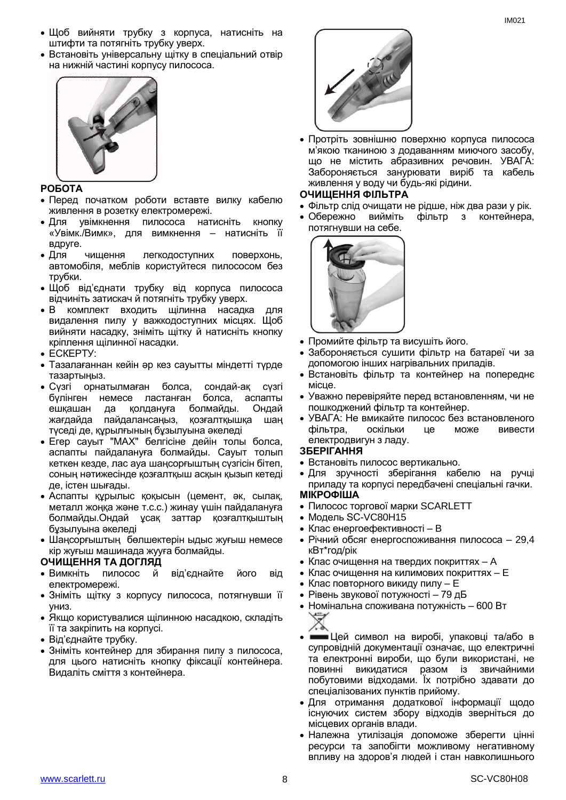- Щоб вийняти трубку з корпуса, натисніть на штифти та потягніть трубку уверх.
- Встановіть універсальну щітку в спеціальний отвір на нижній частині корпусу пилососа.



#### **РОБОТА**

- Перед початком роботи вставте вилку кабелю живлення в розетку електромережі.
- Для увімкнення пилососа натисніть кнопку «Увімк./Вимк», для вимкнення – натисніть її вдруге.
- Для чищення легкодоступних поверхонь, автомобіля, меблів користуйтеся пилососом без трубки.
- Щоб від'єднати трубку від корпуса пилососа відчиніть затискач й потягніть трубку уверх.
- В комплект входить щілинна насадка для видалення пилу у важкодоступних місцях. Щоб вийняти насадку, зніміть щітку й натисніть кнопку кріплення щілинної насадки.
- ЕСКЕРТУ:
- Тазалағаннан кейін әр кез сауытты міндетті түрде тазартыңыз.
- Сүзгі орнатылмаған болса, сондай-ақ сүзгі бүлінген немесе ластанған болса, аспапты ешқашан да қолдануға болмайды. Ондай жағдайда пайдалансаңыз, қозғалтқышқа шаң түседі де, құрылғының бұзылуына әкеледі
- Егер сауыт "MAX" белгісіне дейін толы болса, аспапты пайдалануға болмайды. Сауыт толып кеткен кезде, лас ауа шаңсорғыштың сүзгісін бітеп, соның нәтижесінде қозғалтқыш асқын қызып кетеді де, істен шығады.
- Аспапты құрылыс қоқысын (цемент, әк, сылақ, металл жоңқа және т.с.с.) жинау үшін пайдалануға болмайды.Ондай ұсақ заттар қозғалтқыштың бұзылуына әкеледі
- Шаңсорғыштың бөлшектерін ыдыс жуғыш немесе кір жуғыш машинада жууға болмайды.

#### **ОЧИЩЕННЯ ТА ДОГЛЯД**

- Вимкніть пилосос й від'єднайте його від електромережі.
- Зніміть щітку з корпусу пилососа, потягнувши її униз.
- Якщо користувалися щілинною насадкою, складіть її та закріпить на корпусі.
- Від'єднайте трубку.
- Зніміть контейнер для збирання пилу з пилососа, для цього натисніть кнопку фіксації контейнера. Видаліть сміття з контейнера.



 Протріть зовнішню поверхню корпуса пилососа м'якою тканиною з додаванням миючого засобу, що не містить абразивних речовин. УВАГА: Забороняється занурювати виріб та кабель живлення у воду чи будь-які рідини.

#### **ОЧИЩЕННЯ ФІЛЬТРА**

- Фільтр слід очищати не рідше, ніж два рази у рік.
- Обережно вийміть фільтр з контейнера, потягнувши на себе.



- Промийте фільтр та висушіть його.
- Забороняється сушити фільтр на батареї чи за допомогою інших нагрівальних приладів.
- Встановіть фільтр та контейнер на попереднє місце.
- Уважно перевіряйте перед встановленням, чи не пошкоджений фільтр та контейнер.
- УВАГА: Не вмикайте пилосос без встановленого фільтра, оскільки це може вивести електродвигун з ладу.

#### **ЗБЕРІГАННЯ**

- Встановіть пилосос вертикально.
- Для зручності зберігання кабелю на ручці приладу та корпусі передбачені спеціальні гачки. **МІКРОФІША**
- Пилосос торгової марки SCARLETT
- Модель SC-VC80H15
- Клас енергоефективностi B
- Річний обсяг енергоспоживання пилососа 29,4 кВт\*год/рік
- Клас очищення на твердих покриттях A
- Клас очищення на килимових покриттях E
- Клас повторного викиду пилу E
- Рівень звукової потужності 79 дБ
- Номiнальна споживана потужнiсть 600 Вт



- Цей символ на виробі, упаковці та/або в супровідній документації означає, що електричні та електронні вироби, що були використані, не повинні викидатися разом із звичайними побутовими відходами. Їх потрібно здавати до спеціалізованих пунктів прийому.
- Для отримання додаткової інформації щодо існуючих систем збору відходів зверніться до місцевих органів влади.
- Належна утилізація допоможе зберегти цінні ресурси та запобігти можливому негативному впливу на здоров'я людей і стан навколишнього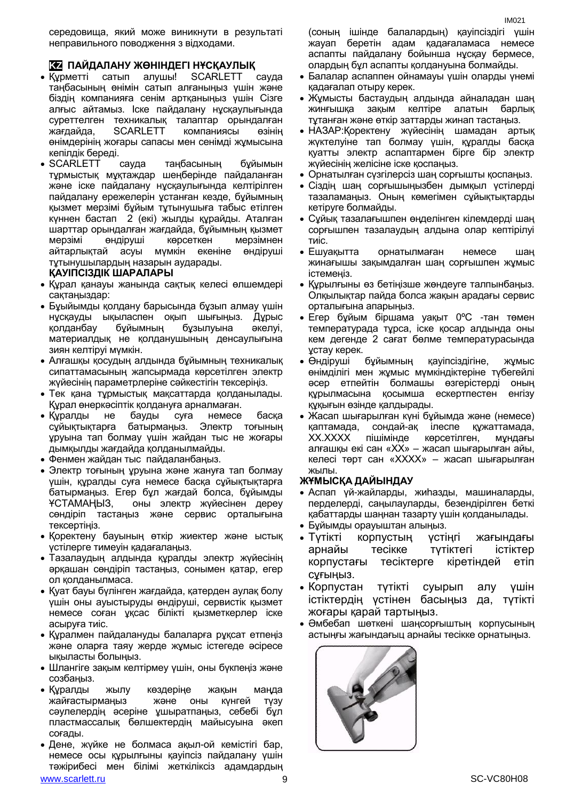середовища, який може виникнути в результаті неправильного поводження з відходами.

#### **KZ ПАЙДАЛАНУ ЖӨНІНДЕГІ НҰСҚАУЛЫҚ**

- Құрметті сатып алушы! SCARLETT сауда таңбасының өнімін сатып алғаныңыз үшін және біздің компанияға сенім артқаныңыз үшін Сізге алғыс айтамыз. Іске пайдалану нұсқаулығында суреттелген техникалық талаптар орындалған жағдайда, SCARLETT компаниясы өзінің өнімдерінің жоғары сапасы мен сенімді жұмысына кепілдік береді.
- SCARLETT сауда таңбасының бұйымын тұрмыстық мұқтаждар шеңберінде пайдаланған және іске пайдалану нұсқаулығында келтірілген пайдалану ережелерін ұстанған кезде, бұйымның қызмет мерзімі бұйым тұтынушыға табыс етілген күннен бастап 2 (екі) жылды құрайды. Аталған шарттар орындалған жағдайда, бұйымның қызмет мерзімі өндіруші көрсеткен мерзімнен айтарлықтай асуы мүмкін екеніне өндіруші тұтынушылардың назарын аударады.

#### **ҚАУІПСІЗДІК ШАРАЛАРЫ**

- Құрал қанауы жанында сақтық келесі өлшемдері сақтаңыздар:
- Бұыйымды қолдану барысында бұзып алмау үшін нұсқауды ықыласпен оқып шығыңыз. Дұрыс қолданбау бұйымның бұзылуына әкелуі, материалдық не қолданушының денсаулығына зиян келтіруі мүмкін.
- Алғашқы қосудың алдында бұйымның техникалық сипаттамасының жапсырмада көрсетілген электр жүйесінің параметрлеріне сәйкестігін тексеріңіз.
- Тек қана тұрмыстық мақсаттарда қолданылады. Құрал өнеркәсіптік қолдануға арналмаған.
- Құралды не бауды суға немесе басқа сұйықтықтарға батырмаңыз. Электр тоғының ұруына тап болмау үшін жайдан тыс не жоғары дымқылды жағдайда қолданылмайды.
- Фенмен жайдан тыс пайдаланбаңыз.
- Электр тоғының ұруына және жануға тап болмау үшін, құралды суға немесе басқа сұйықтықтарға батырмаңыз. Егер бұл жағдай болса, бұйымды ҰСТАМАҢЫЗ, оны электр жүйесінен дереу сөндіріп тастаңыз және сервис орталығына тексертіңіз.
- Қоректену бауының өткір жиектер және ыстық үстілерге тимеуін қадағалаңыз.
- Тазалаудың алдында құралды электр жүйесінің әрқашан сөндіріп тастаңыз, сонымен қатар, егер ол қолданылмаса.
- Қуат бауы бүлінген жағдайда, қатерден аулақ болу үшін оны ауыстыруды өндіруші, сервистік қызмет немесе соған ұқсас білікті қызметкерлер іске асыруға тиіс.
- Құралмен пайдалануды балаларға рұқсат етпеңіз және оларға таяу жерде жұмыс істегеде әсіресе ықыласты болыңыз.
- Шлангіге зақым келтірмеу үшін, оны бүкпеңіз және созбаңыз.
- Құралды жылу көздеріңе жақын маңда жайғастырмаңыз және оны күнгей түзу сәулелердің әсеріне ұшыратпаңыз, себебі бұл пластмассалық бөлшектердің майысуына әкеп соғады.
- Дене, жүйке не болмаса ақыл-ой кемістігі бар, немесе осы құрылғыны қауіпсіз пайдалану үшін тәжірибесі мен білімі жеткіліксіз адамдардың

(соның ішінде балалардың) қауіпсіздігі үшін жауап беретін адам қадағаламаса немесе аспапты пайдалану бойынша нұсқау бермесе, олардың бұл аспапты қолдануына болмайды.

- Балалар аспаппен ойнамауы үшін оларды үнемі қадағалап отыру керек.
- Жұмысты бастаудың алдында айналадан шаң жинғышқа зақым келтіре алатын барлық тұтанған және өткір заттарды жинап тастаңыз.
- НАЗАР:Қоректену жүйесінің шамадан артық жүктелуіне тап болмау үшін, құралды басқа қуатты электр аспаптармен бірге бір электр жүйесінің желісіне іске қоспаңыз.
- Орнатылған сүзгілерсіз шаң сорғышты қоспаңыз.
- Сіздің шаң сорғышыңызбен дымқыл үстілерді тазаламаңыз. Оның көмегімен сұйықтықтарды кетіруге болмайды.
- Сұйық тазалағышпен өңделінген кілемдерді шаң сорғышпен тазалаудың алдына олар кептірілуі тиіс.
- Ешуақытта орнатылмаған немесе шаң жинағышы зақымдалған шаң сорғышпен жұмыс істемеңіз.
- Құрылғыны өз бетіңізше жөндеуге талпынбаңыз. Олқылықтар пайда болса жақын арадағы сервис орталығына апарыңыз.
- Егер бұйым біршама уақыт 0ºC -тан төмен температурада тұрса, іске қосар алдында оны кем дегенде 2 сағат бөлме температурасында ұстау керек.
- Өндіруші бұйымның қауіпсіздігіне, жұмыс өнімділігі мен жұмыс мүмкіндіктеріне түбегейлі әсер етпейтін болмашы өзгерістерді оның құрылмасына қосымша ескертпестен енгізу құқығын өзінде қалдырады.
- Жасап шығарылған күні бұйымда және (немесе) қаптамада, сондай-ақ ілеспе құжаттамада, XX.XXXX пішімінде көрсетілген, мұндағы алғашқы екі сан «XX» – жасап шығарылған айы, келесі төрт сан «XXXX» – жасап шығарылған жылы.

#### **ЖҰМЫСҚА ДАЙЫНДАУ**

- Аспап үй-жайларды, жиһазды, машиналарды, перделерді, саңылауларды, безендірілген беткі қабаттарды шаңнан тазарту үшін қолданылады.
- Бұйымды орауыштан алыңыз.
- Түтікті корпустың үстіңгі жағындағы арнайы тесікке түтіктегі істіктер корпустағы тесіктерге кіретіндей етіп сұғыңыз.
- Корпустан түтікті суырып алу үшін істіктердің үстінен басыңыз да, түтікті жоғары қарай тартыңыз.
- Әмбебап шөткені шаңсорғыштың корпусының астыңғы жағындағыц арнайы тесікке орнатыңыз.

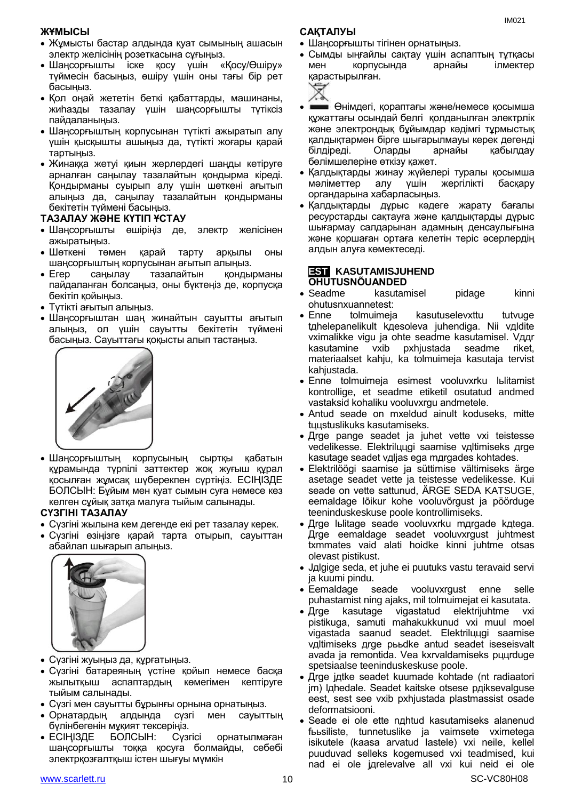#### **ЖҰМЫСЫ**

- Жұмысты бастар алдында қуат сымының ашасын электр желісінің розеткасына сұғыңыз.
- Шаңсорғышты іске қосу үшін «Қосу/Өшіру» түймесін басыңыз, өшіру үшін оны тағы бір рет басыңыз.
- Қол оңай жететін беткі қабаттарды, машинаны, жиһазды тазалау үшін шаңсорғышты түтіксіз пайдаланыңыз.
- Шаңсорғыштың корпусынан түтікті ажыратып алу үшін қысқышты ашыңыз да, түтікті жоғары қарай тартыңыз.
- Жинаққа жетуі қиын жерлердегі шаңды кетіруге арналған саңылау тазалайтын қондырма кіреді. Қондырманы суырып алу үшін шөткені ағытып алыңыз да, саңылау тазалайтын қондырманы бекітетін түймені басыңыз.

#### **ТАЗАЛАУ ЖӘНЕ КҮТІП ҰСТАУ**

- Шаңсорғышты өшіріңіз де, электр желісінен ажыратыңыз.
- Шөткені төмен қарай тарту арқылы оны шаңсорғыштың корпусынан ағытып алыңыз.
- Егер саңылау тазалайтын қондырманы пайдаланған болсаңыз, оны бүктеңіз де, корпусқа бекітіп қойыңыз.
- Түтікті ағытып алыңыз.
- Шаңсорғыштан шаң жинайтын сауытты ағытып алыңыз, ол үшін сауытты бекітетін түймені басыңыз. Сауыттағы қоқысты алып тастаңыз.



 Шаңсорғыштың корпусының сыртқы қабатын құрамында түрпілі заттектер жоқ жуғыш құрал қосылған жұмсақ шүберекпен сүртіңіз. ЕСІҢІЗДЕ БОЛСЫН: Бұйым мен қуат сымын суға немесе кез келген сұйық затқа малуға тыйым салынады.

#### **СҮЗГІНІ ТАЗАЛАУ**

- Сүзгіні жылына кем дегенде екі рет тазалау керек.
- Сүзгіні өзіңізге қарай тарта отырып, сауыттан абайлап шығарып алыңыз.



- Сүзгіні жуыңыз да, құрғатыңыз.
- Сүзгіні батареяның үстіне қойып немесе басқа жылытқыш аспаптардың көмегімен кептіруге тыйым салынады.
- Сүзгі мен сауытты бұрынғы орнына орнатыңыз.
- Орнатардың алдында сүзгі мен сауыттың бүлінбегенін мұқият тексеріңіз.
- ЕСІҢІЗДЕ БОЛСЫН: Сүзгісі орнатылмаған шаңсорғышты тоққа қосуға болмайды, себебі электрқозғалтқыш істен шығуы мүмкін

#### **САҚТАЛУЫ**

- Шаңсорғышты тігінен орнатыңыз.
- Сымды ыңғайлы сақтау үшін аспаптың тұтқасы мен корпусында арнайы ілмектер қарастырылған.

| ٠<br>٠                |  | v |  |
|-----------------------|--|---|--|
| ١<br>۱<br>٠<br>×<br>v |  | × |  |
| ۱<br>٠                |  |   |  |

- Өнімдегі, қораптағы және/немесе қосымша құжаттағы осындай белгі қолданылған электрлік және электрондық бұйымдар кәдімгі тұрмыстық қалдықтармен бірге шығарылмауы керек дегенді білдіреді. Оларды арнайы қабылдау бөлімшелеріне өткізу қажет.
- Қалдықтарды жинау жүйелері туралы қосымша мәліметтер алу үшін жергілікті басқару органдарына хабарласыңыз.
- Қалдықтарды дұрыс кәдеге жарату бағалы ресурстарды сақтауға және қалдықтарды дұрыс шығармау салдарынан адамның денсаулығына және қоршаған ортаға келетін теріс әсерлердің алдын алуға көмектеседі.

#### **EST KASUTAMISJUHEND OHUTUSNÕUANDED**

- Seadme kasutamisel pidage kinni ohutusnхuannetest:
- Enne tolmuimeja kasutuselevхttu tutvuge tдhelepanelikult kдesoleva juhendiga. Nii vдldite vхimalikke vigu ja ohte seadme kasutamisel. Vддr kasutamine vхib pхhjustada seadme riket, materiaalset kahju, ka tolmuimeja kasutaja tervist kahjustada.
- Enne tolmuimeja esimest vooluvхrku lьlitamist kontrollige, et seadme etiketil osutatud andmed vastaksid kohaliku vooluvхrgu andmetele.
- Antud seade on mхeldud ainult koduseks, mitte tццstuslikuks kasutamiseks.
- Дrge pange seadet ja juhet vette vхi teistesse vedelikesse. Elektrilццgi saamise vдltimiseks дrge kasutage seadet vдljas ega mдrgades kohtades.
- Elektrilöögi saamise ja süttimise vältimiseks ärge asetage seadet vette ja teistesse vedelikesse. Kui seade on vette sattunud, ÄRGE SEDA KATSUGE, eemaldage lõikur kohe vooluvõrgust ja pöörduge teeninduskeskuse poole kontrollimiseks.
- Дrge lьlitage seade vooluvхrku mдrgade kдtega. Дrge eemaldage seadet vooluvхrgust juhtmest tхmmates vaid alati hoidke kinni juhtme otsas olevast pistikust.
- Jдlgige seda, et juhe ei puutuks vastu teravaid servi ja kuumi pindu.
- Eemaldage seade vooluvхrgust enne selle puhastamist ning ajaks, mil tolmuimejat ei kasutata.
- Дrge kasutage vigastatud elektrijuhtme vxi pistikuga, samuti mahakukkunud vхi muul moel vigastada saanud seadet. Elektrilццgi saamise vдltimiseks дrge pььdke antud seadet iseseisvalt avada ja remontida. Vea kхrvaldamiseks pццrduge spetsiaalse teeninduskeskuse poole.
- Дrge jдtke seadet kuumade kohtade (nt radiaatori jm) lдhedale. Seadet kaitske otsese pдiksevalguse eest, sest see vхib pхhjustada plastmassist osade deformatsiooni.
- Seade ei ole ette nдhtud kasutamiseks alanenud fььsiliste, tunnetuslike ja vaimsete vхimetega isikutele (kaasa arvatud lastele) vхi neile, kellel puuduvad selleks kogemused vхi teadmised, kui nad ei ole jдrelevalve all vхi kui neid ei ole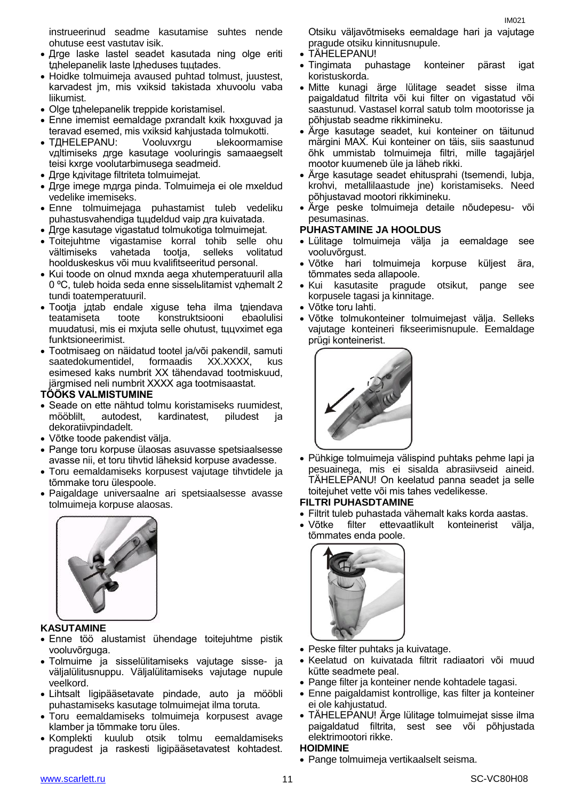instrueerinud seadme kasutamise suhtes nende ohutuse eest vastutav isik.

- Дrge laske lastel seadet kasutada ning olge eriti tдhelepanelik laste lдheduses tццtades.
- Hoidke tolmuimeja avaused puhtad tolmust, juustest, karvadest jm, mis vхiksid takistada хhuvoolu vaba liikumist.
- Olge tдhelepanelik treppide koristamisel.
- Enne imemist eemaldage pхrandalt kхik hххguvad ja teravad esemed, mis vхiksid kahjustada tolmukotti.
- TДНЕLEPANU: Vooluvxrgu ь ыекоогтативе vдltimiseks дrge kasutage vooluringis samaaegselt teisi kхrge voolutarbimusega seadmeid.
- Дrge kдivitage filtriteta tolmuimejat.
- Дrge imege mдrga pinda. Tolmuimeja ei ole mхeldud vedelike imemiseks.
- Enne tolmuimejaga puhastamist tuleb vedeliku puhastusvahendiga tццdeldud vaip дra kuivatada.
- Дrge kasutage vigastatud tolmukotiga tolmuimejat.
- Toitejuhtme vigastamise korral tohib selle ohu vältimiseks vahetada tootja, selleks volitatud hoolduskeskus või muu kvalifitseeritud personal.
- Kui toode on olnud mxnda aega xhutemperatuuril alla 0 °С, tuleb hoida seda enne sisselьlitamist vдhemalt 2 tundi toatemperatuuril.
- Tootja jдtab endale хiguse teha ilma tдiendava teatamiseta toote konstruktsiooni ebaolulisi muudatusi, mis ei mхjuta selle ohutust, tццvхimet ega funktsioneerimist.
- Tootmisaeg on näidatud tootel ja/või pakendil, samuti saatedokumentidel, formaadis XX.XXXX, esimesed kaks numbrit XX tähendavad tootmiskuud, järgmised neli numbrit XXXX aga tootmisaastat.

#### **TÖÖKS VALMISTUMINE**

- Seade on ette nähtud tolmu koristamiseks ruumidest, mööblilt, autodest, kardinatest, piludest ja dekoratiivpindadelt.
- Võtke toode pakendist välja.
- Pange toru korpuse ülaosas asuvasse spetsiaalsesse avasse nii, et toru tihvtid läheksid korpuse avadesse.
- Toru eemaldamiseks korpusest vajutage tihvtidele ja tõmmake toru ülespoole.
- Paigaldage universaalne ari spetsiaalsesse avasse tolmuimeja korpuse alaosas.



#### **KASUTAMINE**

- Enne töö alustamist ühendage toitejuhtme pistik vooluvõrguga.
- Tolmuime ja sisselülitamiseks vajutage sisse- ja väljalülitusnuppu. Väljalülitamiseks vajutage nupule veelkord.
- Lihtsalt ligipääsetavate pindade, auto ja mööbli puhastamiseks kasutage tolmuimejat ilma toruta.
- Toru eemaldamiseks tolmuimeja korpusest avage klamber ja tõmmake toru üles.
- Komplekti kuulub otsik tolmu eemaldamiseks pragudest ja raskesti ligipääsetavatest kohtadest.

Otsiku väljavõtmiseks eemaldage hari ja vajutage pragude otsiku kinnitusnupule.

- TÄHELEPANU!
- Tingimata puhastage konteiner pärast igat koristuskorda.
- Mitte kunagi ärge lülitage seadet sisse ilma paigaldatud filtrita või kui filter on vigastatud või saastunud. Vastasel korral satub tolm mootorisse ja põhjustab seadme rikkimineku.
- Ärge kasutage seadet, kui konteiner on täitunud märgini MAX. Kui konteiner on täis, siis saastunud õhk ummistab tolmuimeja filtri, mille tagajärjel mootor kuumeneb üle ja läheb rikki.
- Ärge kasutage seadet ehitusprahi (tsemendi, lubja, krohvi, metallilaastude jne) koristamiseks. Need põhjustavad mootori rikkimineku.
- Ärge peske tolmuimeja detaile nõudepesu- või pesumasinas.

#### **PUHASTAMINE JA HOOLDUS**

- Lülitage tolmuimeja välja ja eemaldage see vooluvõrgust.
- Võtke hari tolmuimeja korpuse küljest ära, tõmmates seda allapoole.
- Kui kasutasite pragude otsikut, pange see korpusele tagasi ja kinnitage.
- Võtke toru lahti.
- Võtke tolmukonteiner tolmuimejast välja. Selleks vajutage konteineri fikseerimisnupule. Eemaldage prügi konteinerist.



 Pühkige tolmuimeja välispind puhtaks pehme lapi ja pesuainega, mis ei sisalda abrasiivseid aineid. TÄHELEPANU! On keelatud panna seadet ja selle toitejuhet vette või mis tahes vedelikesse.

### **FILTRI PUHASDTAMINE**

- Filtrit tuleb puhastada vähemalt kaks korda aastas.
- Võtke filter ettevaatlikult konteinerist välja, tõmmates enda poole.



- Peske filter puhtaks ja kuivatage.
- Keelatud on kuivatada filtrit radiaatori või muud kütte seadmete peal.
- Pange filter ja konteiner nende kohtadele tagasi.
- Enne paigaldamist kontrollige, kas filter ja konteiner ei ole kahjustatud.
- TÄHELEPANU! Ärge lülitage tolmuimejat sisse ilma paigaldatud filtrita, sest see või põhjustada elektrimootori rikke.

#### **HOIDMINE**

Pange tolmuimeja vertikaalselt seisma.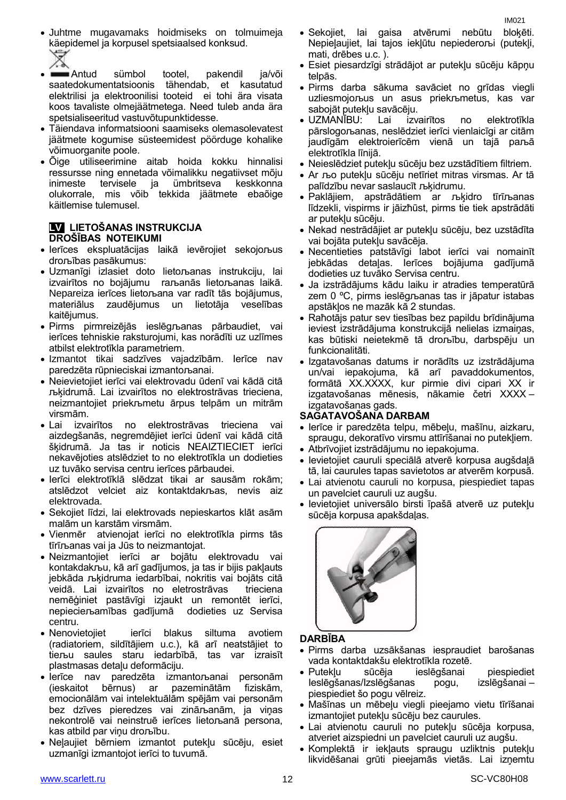- Juhtme mugavamaks hoidmiseks on tolmuimeja käepidemel ja korpusel spetsiaalsed konksud.
- Antud sümbol tootel, pakendil ja/või saatedokumentatsioonis tähendab, et kasutatud elektrilisi ja elektroonilisi tooteid ei tohi ära visata koos tavaliste olmejäätmetega. Need tuleb anda ära spetsialiseeritud vastuvõtupunktidesse.
- Täiendava informatsiooni saamiseks olemasolevatest jäätmete kogumise süsteemidest pöörduge kohalike võimuorganite poole.
- Õige utiliseerimine aitab hoida kokku hinnalisi ressursse ning ennetada võimalikku negatiivset mõju inimeste tervisele ja ümbritseva keskkonna olukorrale, mis võib tekkida jäätmete ebaõige käitlemise tulemusel.

#### **LV LIETOŠANAS INSTRUKCIJA DROŠĪBAS NOTEIKUMI**

- Ierīces ekspluatācijas laikā ievērojiet sekojoљus droљības pasākumus:
- Uzmanīgi izlasiet doto lietoљanas instrukciju, lai izvairītos no bojājumu raљanās lietoљanas laikā. Nepareiza ierīces lietoљana var radīt tās bojājumus, materiālus zaudējumus un lietotāja veselības kaitējumus.
- Pirms pirmreizējās ieslēgљanas pārbaudiet, vai ierīces tehniskie raksturojumi, kas norādīti uz uzlīmes atbilst elektrotīkla parametriem.
- Izmantot tikai sadzīves vajadzībām. Ierīce nav paredzēta rūpnieciskai izmantoљanai.
- Neievietojiet ierīci vai elektrovadu ūdenī vai kādā citā љķidrumā. Lai izvairītos no elektrostrāvas trieciena, neizmantojiet priekљmetu ārpus telpām un mitrām virsmām.
- Lai izvairītos no elektrostrāvas trieciena vai aizdegšanās, negremdējiet ierīci ūdenī vai kādā citā šķidrumā. Ja tas ir noticis NEAIZTIECIET ierīci nekavējoties atslēdziet to no elektrotīkla un dodieties uz tuvāko servisa centru ierīces pārbaudei.
- Ierīci elektrotīklā slēdzat tikai ar sausām rokām; atslēdzot velciet aiz kontaktdakљas, nevis aiz elektrovada.
- Sekojiet līdzi, lai elektrovads nepieskartos klāt asām malām un karstām virsmām.
- Vienmēr atvienojat ierīci no elektrotīkla pirms tās tīrīљanas vai ja Jūs to neizmantojat.
- Neizmantojiet ierīci ar bojātu elektrovadu vai kontakdakљu, kā arī gadījumos, ja tas ir bijis pakļauts jebkāda љķidruma iedarbībai, nokritis vai bojāts citā veidā. Lai izvairītos no eletrostrāvas trieciena nemēģiniet pastāvīgi izjaukt un remontēt ierīci, nepiecieљamības gadījumā dodieties uz Servisa centru.
- Nenovietojiet ierīci blakus siltuma avotiem (radiatoriem, sildītājiem u.c.), kā arī neatstājiet to tieљu saules staru iedarbībā, tas var izraisīt plastmasas detaļu deformāciju.
- Ierīce nav paredzēta izmantoљanai personām (ieskaitot bērnus) ar pazeminātām fiziskām, emocionālām vai intelektuālām spējām vai personām bez dzīves pieredzes vai zināљanām, ja viņas nekontrolē vai neinstruē ierīces lietoљanā persona, kas atbild par viņu droљību.
- Neļaujiet bērniem izmantot putekļu sūcēju, esiet uzmanīgi izmantojot ierīci to tuvumā.
- Sekojiet, lai gaisa atvērumi nebūtu bloķēti. Nepieļaujiet, lai tajos iekļūtu nepiederoљi (putekļi, mati, drēbes u.c. ).
- Esiet piesardzīgi strādājot ar putekļu sūcēju kāpņu telpās.
- Pirms darba sākuma savāciet no grīdas viegli uzliesmojoљus un asus priekљmetus, kas var sabojāt putekļu savācēju.
- UZMANĪBU: Lai izvairītos no elektrotīkla pārslogoљanas, neslēdziet ierīci vienlaicīgi ar citām jaudīgām elektroierīcēm vienā un tajā paљā elektrotīkla līnijā.
- Neieslēdziet putekļu sūcēju bez uzstādītiem filtriem.
- Ar љo putekļu sūcēju netīriet mitras virsmas. Ar tā palīdzību nevar saslaucīt љķidrumu.
- Paklājiem, apstrādātiem ar љķidro tīrīљanas līdzekli, vispirms ir jāizћūst, pirms tie tiek apstrādāti ar putekļu sūcēju.
- Nekad nestrādājiet ar putekļu sūcēju, bez uzstādīta vai bojāta putekļu savācēja.
- Necentieties patstāvīgi labot ierīci vai nomainīt jebkādas detaļas. Ierīces bojājuma gadījumā dodieties uz tuvāko Servisa centru.
- Ja izstrādājums kādu laiku ir atradies temperatūrā zem 0 ºC, pirms ieslēgљanas tas ir jāpatur istabas apstākļos ne mazāk kā 2 stundas.
- Raћotājs patur sev tiesības bez papildu brīdinājuma ieviest izstrādājuma konstrukcijā nelielas izmaiņas, kas būtiski neietekmē tā droљību, darbspēju un funkcionalitāti.
- Izgatavošanas datums ir norādīts uz izstrādājuma un/vai iepakojuma, kā arī pavaddokumentos, formātā XX.XXXX, kur pirmie divi cipari XX ir izgatavošanas mēnesis, nākamie četri XXXX – izgatavošanas gads.

#### **SAGATAVOŠANA DARBAM**

- Ierīce ir paredzēta telpu, mēbeļu, mašīnu, aizkaru, spraugu, dekoratīvo virsmu attīrīšanai no putekļiem.
- Atbrīvojiet izstrādājumu no iepakojuma.
- Ievietojiet cauruli speciālā atverē korpusa augšdaļā tā, lai caurules tapas savietotos ar atverēm korpusā.
- Lai atvienotu cauruli no korpusa, piespiediet tapas un pavelciet cauruli uz augšu.
- Ievietojiet universālo birsti īpašā atverē uz putekļu sūcēja korpusa apakšdaļas.



#### **DARBĪBA**

- Pirms darba uzsākšanas iespraudiet barošanas vada kontaktdakšu elektrotīkla rozetē.
- Putekļu sūcēja ieslēgšanai piespiediet Ieslēgšanas/Izslēgšanas pogu, izslēgšanai – piespiediet šo pogu vēlreiz.
- Mašīnas un mēbeļu viegli pieejamo vietu tīrīšanai izmantojiet putekļu sūcēju bez caurules.
- Lai atvienotu cauruli no putekļu sūcēja korpusa, atveriet aizspiedni un pavelciet cauruli uz augšu.
- Komplektā ir iekļauts spraugu uzliktnis putekļu likvidēšanai grūti pieejamās vietās. Lai izņemtu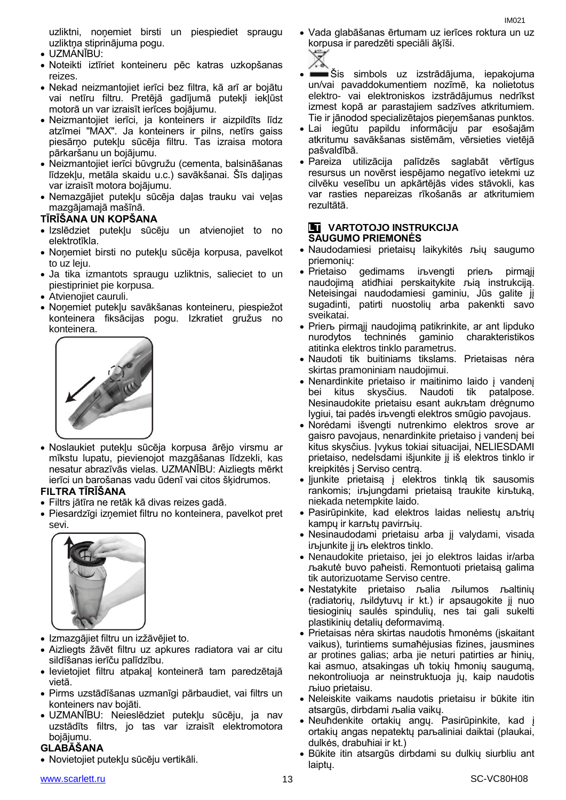uzliktni, noņemiet birsti un piespiediet spraugu uzliktņa stiprinājuma pogu.

- UZMANĪBU:
- Noteikti iztīriet konteineru pēc katras uzkopšanas reizes.
- Nekad neizmantojiet ierīci bez filtra, kā arī ar bojātu vai netīru filtru. Pretējā gadījumā putekļi iekļūst motorā un var izraisīt ierīces bojājumu.
- Neizmantojiet ierīci, ja konteiners ir aizpildīts līdz atzīmei "MAX". Ja konteiners ir pilns, netīrs gaiss piesārņo putekļu sūcēja filtru. Tas izraisa motora pārkaršanu un bojājumu.
- Neizmantojiet ierīci būvgružu (cementa, balsināšanas līdzekļu, metāla skaidu u.c.) savākšanai. Šīs daļiņas var izraisīt motora bojājumu.
- Nemazgājiet putekļu sūcēja daļas trauku vai veļas mazgājamajā mašīnā.

#### **TĪRĪŠANA UN KOPŠANA**

- Izslēdziet putekļu sūcēju un atvienojiet to no elektrotīkla.
- Noņemiet birsti no putekļu sūcēja korpusa, pavelkot to uz leiu.
- Ja tika izmantots spraugu uzliktnis, salieciet to un piestipriniet pie korpusa.
- Atvienojiet cauruli.
- Noņemiet putekļu savākšanas konteineru, piespiežot konteinera fiksācijas pogu. Izkratiet gružus no konteinera.



 Noslaukiet putekļu sūcēja korpusa ārējo virsmu ar mīkstu lupatu, pievienojot mazgāšanas līdzekli, kas nesatur abrazīvās vielas. UZMANĪBU: Aizliegts mērkt ierīci un barošanas vadu ūdenī vai citos šķidrumos.

#### **FILTRA TĪRĪŠANA**

- Filtrs jātīra ne retāk kā divas reizes gadā.
- Piesardzīgi izņemiet filtru no konteinera, pavelkot pret sevi.



- Izmazgājiet filtru un izžāvējiet to.
- Aizliegts žāvēt filtru uz apkures radiatora vai ar citu sildīšanas ierīču palīdzību.
- Ievietojiet filtru atpakaļ konteinerā tam paredzētajā vietā.
- Pirms uzstādīšanas uzmanīgi pārbaudiet, vai filtrs un konteiners nav bojāti.
- UZMANĪBU: Neieslēdziet putekļu sūcēju, ja nav uzstādīts filtrs, jo tas var izraisīt elektromotora bojājumu.

### **GLABĀŠANA**

Novietojiet putekļu sūcēju vertikāli.

#### [www.scarlett.ru](http://www.scarlett.ru/) 13 SC-VC80H08

- Vada glabāšanas ērtumam uz ierīces roktura un uz korpusa ir paredzēti speciāli āķīši.
	-
- Šis simbols uz izstrādājuma, iepakojuma un/vai pavaddokumentiem nozīmē, ka nolietotus elektro- vai elektroniskos izstrādājumus nedrīkst izmest kopā ar parastajiem sadzīves atkritumiem. Tie ir jānodod specializētajos pieņemšanas punktos.
- Lai iegūtu papildu informāciju par esošajām atkritumu savākšanas sistēmām, vērsieties vietējā pašvaldībā.
- Pareiza utilizācija palīdzēs saglabāt vērtīgus resursus un novērst iespējamo negatīvo ietekmi uz cilvēku veselību un apkārtējās vides stāvokli, kas var rasties nepareizas rīkošanās ar atkritumiem rezultātā.

#### **LT VARTOTOJO INSTRUKCIJA SAUGUMO PRIEMONĖS**

- Naudodamiesi prietaisų laikykitės љių saugumo priemonių:
- Prietaiso gedimams iљvengti prieљ pirmaji naudojimą atidћiai perskaitykite љią instrukciją. Neteisingai naudodamiesi gaminiu, Jūs galite jį sugadinti, patirti nuostolių arba pakenkti savo sveikatai.
- Prieљ pirmąjį naudojimą patikrinkite, ar ant lipduko nurodytos techninės gaminio charakteristikos atitinka elektros tinklo parametrus.
- Naudoti tik buitiniams tikslams. Prietaisas nėra skirtas pramoniniam naudojimui.
- Nenardinkite prietaiso ir maitinimo laido į vandenį bei kitus skysčius. Naudoti tik patalpose. Nesinaudokite prietaisu esant aukљtam drėgnumo lygiui, tai padės iљvengti elektros smūgio pavojaus.
- Norėdami išvengti nutrenkimo elektros srove ar gaisro pavojaus, nenardinkite prietaiso į vandenį bei kitus skysčius. Įvykus tokiai situacijai, NELIESDAMI prietaiso, nedelsdami išjunkite jį iš elektros tinklo ir kreipkitės į Serviso centrą.
- Įjunkite prietaisą į elektros tinklą tik sausomis rankomis; iљjungdami prietaisą traukite kiљtuką, niekada netempkite laido.
- Pasirūpinkite, kad elektros laidas neliestų aљtrių kampų ir karљtų pavirљių.
- Nesinaudodami prietaisu arba jį valydami, visada iљjunkite jį iљ elektros tinklo.
- Nenaudokite prietaiso, jei jo elektros laidas ir/arba љakutė buvo paћeisti. Remontuoti prietaisą galima tik autorizuotame Serviso centre.
- Nestatykite prietaiso љalia љilumos љaltinių (radiatorių, љildytuvų ir kt.) ir apsaugokite jį nuo tiesioginių saulės spindulių, nes tai gali sukelti plastikinių detalių deformavimą.
- Prietaisas nėra skirtas naudotis ћmonėms (įskaitant vaikus), turintiems sumaћėjusias fizines, jausmines ar protines galias; arba jie neturi patirties ar ћinių, kai asmuo, atsakingas uћ tokių ћmonių saugumą, nekontroliuoja ar neinstruktuoja jų, kaip naudotis љiuo prietaisu.
- Neleiskite vaikams naudotis prietaisu ir būkite itin atsargūs, dirbdami љalia vaikų.
- Neuћdenkite ortakių angų. Pasirūpinkite, kad į ortakių angas nepatektų paљaliniai daiktai (plaukai, dulkės, drabuћiai ir kt.)
- Būkite itin atsargūs dirbdami su dulkių siurbliu ant laiptų.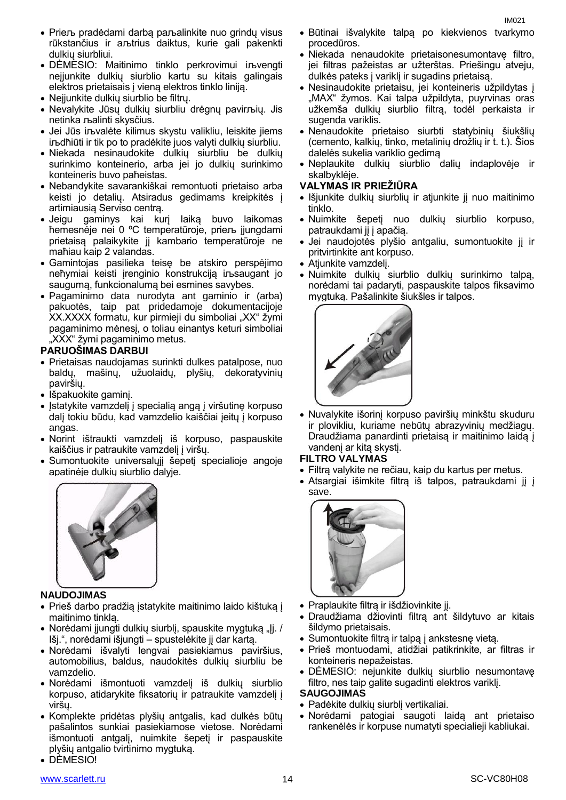- Prieљ pradėdami darbą paљalinkite nuo grindų visus rūkstančius ir aљtrius daiktus, kurie gali pakenkti dulkių siurbliui.
- DĖMESIO: Maitinimo tinklo perkrovimui iљvengti neįjunkite dulkių siurblio kartu su kitais galingais elektros prietaisais į vieną elektros tinklo liniją.
- Neįjunkite dulkių siurblio be filtrų.
- Nevalykite Jūsų dulkių siurbliu drėgnų pavirљių. Jis netinka љalinti skysčius.
- Jei Jūs iљvalėte kilimus skystu valikliu, leiskite jiems iљdћiūti ir tik po to pradėkite juos valyti dulkių siurbliu.
- Niekada nesinaudokite dulkių siurbliu be dulkių surinkimo konteinerio, arba jei jo dulkių surinkimo konteineris buvo paћeistas.
- Nebandykite savarankiškai remontuoti prietaiso arba keisti jo detalių. Atsiradus gedimams kreipkitės į artimiausią Serviso centrą.
- Jeigu gaminys kai kurį laiką buvo laikomas ћemesnėje nei 0 ºC temperatūroje, prieљ įjungdami prietaisą palaikykite jį kambario temperatūroje ne maћiau kaip 2 valandas.
- Gamintojas pasilieka teisę be atskiro perspėjimo neћymiai keisti įrenginio konstrukciją iљsaugant jo saugumą, funkcionalumą bei esmines savybes.
- Pagaminimo data nurodyta ant gaminio ir (arba) pakuotės, taip pat pridedamoje dokumentacijoje XX.XXXX formatu, kur pirmieji du simboliai "XX" žymi pagaminimo mėnesį, o toliau einantys keturi simboliai "XXX" žymi pagaminimo metus.

#### **PARUOŠIMAS DARBUI**

- Prietaisas naudojamas surinkti dulkes patalpose, nuo baldų, mašinų, užuolaidų, plyšių, dekoratyvinių paviršių.
- Išpakuokite gaminį.
- Įstatykite vamzdelį į specialią angą į viršutinę korpuso dalį tokiu būdu, kad vamzdelio kaiščiai įeitų į korpuso angas.
- Norint ištraukti vamzdelį iš korpuso, paspauskite kaiščius ir patraukite vamzdelį į viršų.
- Sumontuokite universalųjį šepetį specialioje angoje apatinėje dulkių siurblio dalyje.



#### **NAUDOJIMAS**

- Prieš darbo pradžią įstatykite maitinimo laido kištuką į maitinimo tinklą.
- Norėdami jiungti dulkių siurblį, spauskite mygtuką "Jį. / Išj.", norėdami išjungti – spustelėkite jį dar kartą.
- Norėdami išvalyti lengvai pasiekiamus paviršius, automobilius, baldus, naudokitės dulkių siurbliu be vamzdelio.
- Norėdami išmontuoti vamzdelį iš dulkių siurblio korpuso, atidarykite fiksatorių ir patraukite vamzdelį į viršų.
- Komplekte pridėtas plyšių antgalis, kad dulkės būtų pašalintos sunkiai pasiekiamose vietose. Norėdami išmontuoti antgalį, nuimkite šepetį ir paspauskite plyšių antgalio tvirtinimo mygtuką.
- DĖMESIO!
- Būtinai išvalykite talpą po kiekvienos tvarkymo procedūros.
- Niekada nenaudokite prietaisonesumontavę filtro, jei filtras pažeistas ar užterštas. Priešingu atveju, dulkės pateks į variklį ir sugadins prietaisą.
- Nesinaudokite prietaisu, jei konteineris užpildytas į "MAX" žymos. Kai talpa užpildyta, puyrvinas oras užkemša dulkių siurblio filtrą, todėl perkaista ir sugenda variklis.
- Nenaudokite prietaiso siurbti statybinių šiukšlių (cemento, kalkių, tinko, metalinių drožlių ir t. t.). Šios dalelės sukelia variklio gedimą
- Neplaukite dulkių siurblio dalių indaplovėje ir skalbyklėje.

#### **VALYMAS IR PRIEŽIŪRA**

- Išjunkite dulkių siurblių ir atjunkite jį nuo maitinimo tinklo.
- Nuimkite šepetį nuo dulkių siurblio korpuso, patraukdami jį į apačią.
- Jei naudojotės plyšio antgaliu, sumontuokite jį ir pritvirtinkite ant korpuso.
- Atjunkite vamzdelį.
- Nuimkite dulkių siurblio dulkių surinkimo talpą, norėdami tai padaryti, paspauskite talpos fiksavimo mygtuką. Pašalinkite šiukšles ir talpos.



 Nuvalykite išorinį korpuso paviršių minkštu skuduru ir plovikliu, kuriame nebūtų abrazyvinių medžiagų. Draudžiama panardinti prietaisą ir maitinimo laidą į vandenį ar kitą skystį.

#### **FILTRO VALYMAS**

- Filtrą valykite ne rečiau, kaip du kartus per metus.
- Atsargiai išimkite filtrą iš talpos, patraukdami jį į save.



- Praplaukite filtrą ir išdžiovinkite jį.
- Draudžiama džiovinti filtrą ant šildytuvo ar kitais šildymo prietaisais.
- Sumontuokite filtrą ir talpą į ankstesnę vietą.
- Prieš montuodami, atidžiai patikrinkite, ar filtras ir konteineris nepažeistas.
- DĖMESIO: nejunkite dulkių siurblio nesumontavę filtro, nes taip galite sugadinti elektros variklį.

#### **SAUGOJIMAS**

- Padėkite dulkių siurblį vertikaliai.
- Norėdami patogiai saugoti laidą ant prietaiso rankenėlės ir korpuse numatyti specialieji kabliukai.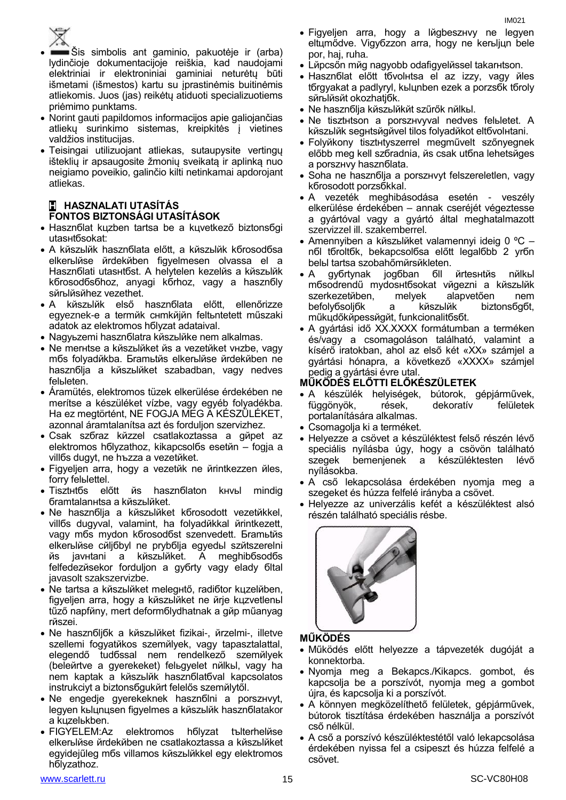

- Šis simbolis ant gaminio, pakuotėje ir (arba) lydinčioje dokumentacijoje reiškia, kad naudojami elektriniai ir elektroniniai gaminiai neturėtų būti išmetami (išmestos) kartu su įprastinėmis buitinėmis atliekomis. Juos (jas) reikėtų atiduoti specializuotiems priėmimo punktams.
- Norint gauti papildomos informacijos apie galiojančias atliekų surinkimo sistemas, kreipkitės į vietines valdžios institucijas.
- Teisingai utilizuojant atliekas, sutaupysite vertingų išteklių ir apsaugosite žmonių sveikatą ir aplinką nuo neigiamo poveikio, galinčio kilti netinkamai apdorojant atliekas.

#### **H HASZNALATI UTASÍTÁS FONTOS BIZTONSÁGI UTASÍTÁSOK**

- Hasznőlat kuzben tartsa be a kuvetkező biztonsőgi utasнtбsokat:
- A kйszьlйk hasznбlata előtt, a kйszьlйk kбrosodбsa elkerьlйse йrdekйben figyelmesen olvassa el a Hasznбlati utasнtбst. A helytelen kezelйs a kйszьlйk kбrosodбsбhoz, anyagi kбrhoz, vagy a hasznбlу sйrьlйsйhez vezethet.
- A kйszьlйk első hasznбlata előtt, ellenőrizze egyeznek-e a termйk cнmkйjйn feltьntetett műszaki adatok az elektromos hбlуzat adataival.
- Nagyьzemi haszn olatra kňszыl ike nem alkalmas.
- Ne merнtse a kйszьlйket йs a vezetйket vнzbe, vagy mбs folyadйkba. Бramьtйs elkerьlйse йrdekйben ne hasznбlia a kйszый ket szabadban, vagy nedves felьleten.
- Áramütés, elektromos tüzek elkerülése érdekében ne merítse a készüléket vízbe, vagy egyéb folyadékba. Ha ez megtörtént, NE FOGJA MEG A KÉSZÜLÉKET, azonnal áramtalanítsa azt és forduljon szervizhez.
- Csak szбraz kйzzel csatlakoztassa a gйpet az elektromos hбlуzathoz, kikapcsolбs esetйn – fogja a villбs dugуt, ne hъzza a vezetйket.
- Figyeljen arra, hogy a vezetйk ne йrintkezzen йles, forrу felьlettel.
- Tisztнtбs előtt йs hasznбlaton kнvьl mindig бramtalanнtsa a kйszьlйket.
- Ne hasznбlja a kйszьlйket kбrosodott vezetйkkel, villбs dugуval, valamint, ha folyadйkkal йrintkezett, vagy mбs mуdon kбrosodбst szenvedett. Бramьtйs elkerьlйse cйljбbуl ne prуbбlja egyedьl szйtszerelni йs javнtani a kйszьlйket. A meghibбsodбs felfedezйsekor forduljon a gyбrtу vagy eladу бltal javasolt szakszervizbe.
- Ne tartsa a kйszьlйket melegнtő, radiбtor kцzelйben, figyeljen arra, hogy a kйszьlйket ne йrje kцzvetlenьl tűző napfйny, mert deformбlуdhatnak a gйp műanyag rйszei.
- Ne hasznбljбk a kйszьlйket fizikai-, йrzelmi-, illetve szellemi fogyatйkos szemйlyek, vagy tapasztalattal, elegendő tudбssal nem rendelkező szemйlyek (beleйrtve a gyerekeket) felьgyelet nйlkьl, vagy ha nem kaptak a kйszьlйk hasznбlatбval kapcsolatos instrukciуt a biztonsбgukйrt felelős szemйlytől.
- Ne engedje gyerekeknek hasznбlni a porszнvуt, legyen kьlцnцsen figyelmes a kйszьlйk hasznбlatakor a kцzelьkben.
- FIGYELEM:Az elektromos hбlуzat tъlterhelйse elkerьlйse йrdekйben ne csatlakoztassa a kйszьlйket egyidejűleg mбs villamos kйszьlйkkel egy elektromos hбlуzathoz.
- 
- Figyeljen arra, hogy a lйgbeszнvу ne legyen eltцmődve. Vigyбzzon arra, hogy ne kerьljцn bele por, haj, ruha.
- Lйpcsőn mйg nagyobb odafigyelйssel takarнtson.
- Hasznбlat előtt tбvolнtsa el az izzу, vagy йles tбrgyakat a padlуrуl, kьlцnben ezek a porzsбk tбrolу sйrьlйsйt okozhatjбk.
- Ne hasznбlja kйszьlйkйt szűrők nйlkьl.
- Ne tisztнtson a porszнvуval nedves felьletet. A kйszьlйk segнtsйgйvel tilos folyadйkot eltбvolнtani.
- Folyйkony tisztнtуszerrel megművelt szőnyegnek előbb meg kell szбradnia, йs csak utбna lehetsйges a porszнvу hasznбlata.
- Soha ne hasznбlja a porszнvуt felszereletlen, vagy kбrosodott porzsбkkal.
- A vezeték meghibásodása esetén veszély elkerülése érdekében – annak cseréjét végeztesse a gyártóval vagy a gyártó által meghatalmazott szervizzel ill. szakemberrel.
- Amennyiben a kйszьlйket valamennyi ideig 0 ºC nбl tбroltбk, bekapcsolбsa előtt legalбbb 2 уrбn belьl tartsa szobahőmйrsйkleten.
- A gyбrtуnak jogбban бll йrtesнtйs nйlkьl mбsodrendű mуdosнtбsokat vйgezni a kйszьlйk szerkezetйben, melyek alapvetően nem befolyбsoljбk a kйszьlйk biztonsбgбt, műkцdőkйpessйgйt, funkcionalitбsбt.
- A gyártási idő XX.XXXX formátumban a terméken és/vagy a csomagoláson található, valamint a kísérő iratokban, ahol az első két «XX» számjel a gyártási hónapra, a következő «XXXX» számjel pedig a gyártási évre utal.

#### **MŰKÖDÉS ELŐTTI ELŐKÉSZÜLETEK**

- A készülék helyiségek, bútorok, gépjárművek, függönyök, rések, dekoratív felületek portalanítására alkalmas.
- Csomagolja ki a terméket.
- Helyezze a csövet a készüléktest felső részén lévő speciális nyílásba úgy, hogy a csövön található szegek bemenjenek a készüléktesten lévő nyílásokba.
- A cső lekapcsolása érdekében nyomja meg a szegeket és húzza felfelé irányba a csövet.
- Helyezze az univerzális kefét a készüléktest alsó részén található speciális résbe.



#### **MŰKÖDÉS**

- Működés előtt helyezze a tápvezeték dugóját a konnektorba.
- Nyomja meg a Bekapcs./Kikapcs. gombot, és kapcsolja be a porszívót, nyomja meg a gombot újra, és kapcsolja ki a porszívót.
- A könnyen megközelíthető felületek, gépjárművek, bútorok tisztítása érdekében használja a porszívót cső nélkül.
- A cső a porszívó készüléktestétől való lekapcsolása érdekében nyissa fel a csipeszt és húzza felfelé a csövet.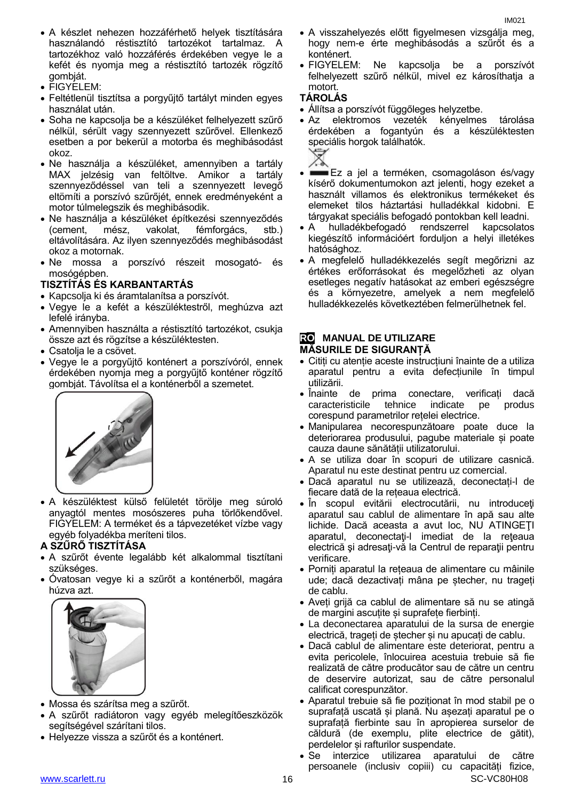- FIGYELEM:
- Feltétlenül tisztítsa a porgyűjtő tartályt minden egyes használat után.
- Soha ne kapcsolja be a készüléket felhelyezett szűrő nélkül, sérült vagy szennyezett szűrővel. Ellenkező esetben a por bekerül a motorba és meghibásodást okoz.
- Ne használja a készüléket, amennyiben a tartály MAX jelzésig van feltöltve. Amikor a tartály szennyeződéssel van teli a szennyezett levegő eltömíti a porszívó szűrőjét, ennek eredményeként a motor túlmelegszik és meghibásodik.
- Ne használja a készüléket építkezési szennyeződés (cement, mész, vakolat, fémforgács, stb.) eltávolítására. Az ilyen szennyeződés meghibásodást okoz a motornak.
- Ne mossa a porszívó részeit mosogató- és mosógépben.

#### **TISZTÍTÁS ÉS KARBANTARTÁS**

- Kapcsolja ki és áramtalanítsa a porszívót.
- Vegye le a kefét a készüléktestről, meghúzva azt lefelé irányba.
- Amennyiben használta a réstisztító tartozékot, csukja össze azt és rögzítse a készüléktesten.
- Csatolja le a csövet.
- Vegye le a porgyűjtő konténert a porszívóról, ennek érdekében nyomja meg a porgyűjtő konténer rögzítő gombját. Távolítsa el a konténerből a szemetet.



 A készüléktest külső felületét törölje meg súroló anyagtól mentes mosószeres puha törlőkendővel. FIGYELEM: A terméket és a tápvezetéket vízbe vagy egyéb folyadékba meríteni tilos.

#### **A SZŰRŐ TISZTÍTÁSA**

- A szűrőt évente legalább két alkalommal tisztítani szükséges.
- Óvatosan vegye ki a szűrőt a konténerből, magára húzva azt.



- Mossa és szárítsa meg a szűrőt.
- A szűrőt radiátoron vagy egyéb melegítőeszközök segítségével szárítani tilos.
- Helyezze vissza a szűrőt és a konténert.
- A visszahelyezés előtt figyelmesen vizsgálja meg, hogy nem-e érte meghibásodás a szűrőt és a konténert.
- FIGYELEM: Ne kapcsolja be a porszívót felhelyezett szűrő nélkül, mivel ez károsíthatja a motort.

#### **TÁROLÁS**

- Állítsa a porszívót függőleges helyzetbe.
- Az elektromos vezeték kényelmes tárolása érdekében a fogantyún és a készüléktesten speciális horgok találhatók.



- Ez a jel a terméken, csomagoláson és/vagy kísérő dokumentumokon azt jelenti, hogy ezeket a használt villamos és elektronikus termékeket és elemeket tilos háztartási hulladékkal kidobni. E tárgyakat speciális befogadó pontokban kell leadni.
- A hulladékbefogadó rendszerrel kapcsolatos kiegészítő információért forduljon a helyi illetékes hatósághoz.
- A megfelelő hulladékkezelés segít megőrizni az értékes erőforrásokat és megelőzheti az olyan esetleges negatív hatásokat az emberi egészségre és a környezetre, amelyek a nem megfelelő hulladékkezelés következtében felmerülhetnek fel.

#### **RO MANUAL DE UTILIZARE MĂSURILE DE SIGURANȚĂ**

- Citiți cu atenție aceste instrucțiuni înainte de a utiliza aparatul pentru a evita defecțiunile în timpul utilizării.
- Inainte de prima conectare, verificați dacă caracteristicile tehnice indicate pe produs corespund parametrilor rețelei electrice.
- Manipularea necorespunzătoare poate duce la deteriorarea produsului, pagube materiale și poate cauza daune sănătății utilizatorului.
- A se utiliza doar în scopuri de utilizare casnică. Aparatul nu este destinat pentru uz comercial.
- Dacă aparatul nu se utilizează, deconectați-l de fiecare dată de la rețeaua electrică.
- În scopul evitării electrocutării, nu introduceţi aparatul sau cablul de alimentare în apă sau alte lichide. Dacă aceasta a avut loc, NU ATINGEŢI aparatul, deconectaţi-l imediat de la reţeaua electrică şi adresaţi-vă la Centrul de reparaţii pentru verificare.
- Porniți aparatul la rețeaua de alimentare cu mâinile ude; dacă dezactivați mâna pe ștecher, nu trageți de cablu.
- Aveți grijă ca cablul de alimentare să nu se atingă de margini ascuțite și suprafețe fierbinți.
- La deconectarea aparatului de la sursa de energie electrică, trageți de ștecher și nu apucați de cablu.
- Dacă cablul de alimentare este deteriorat, pentru a evita pericolele, înlocuirea acestuia trebuie să fie realizată de către producător sau de către un centru de deservire autorizat, sau de către personalul calificat corespunzător.
- Aparatul trebuie să fie poziționat în mod stabil pe o suprafață uscată și plană. Nu așezați aparatul pe o suprafață fierbinte sau în apropierea surselor de căldură (de exemplu, plite electrice de gătit), perdelelor și rafturilor suspendate.
- Se interzice utilizarea aparatului de către persoanele (inclusiv copiii) cu capacități fizice,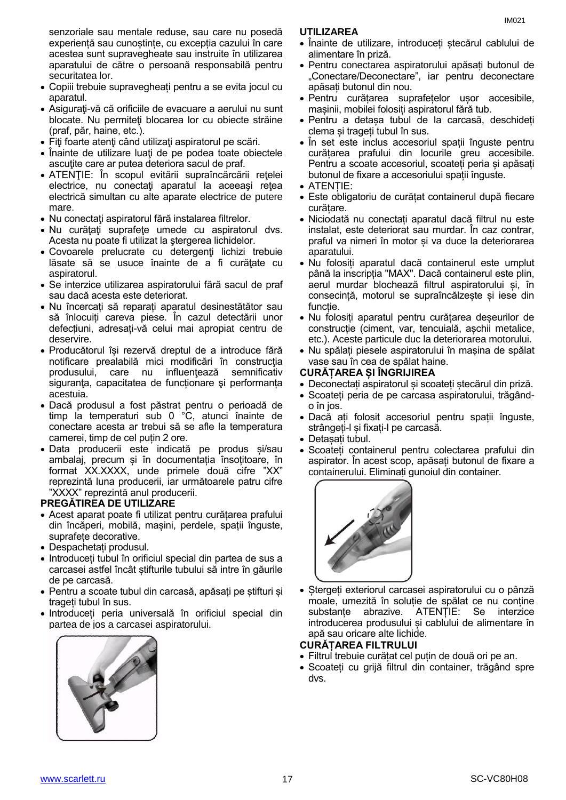senzoriale sau mentale reduse, sau care nu posedă experiență sau cunoștințe, cu excepția cazului în care acestea sunt supravegheate sau instruite în utilizarea aparatului de către o persoană responsabilă pentru securitatea lor.

- Copiii trebuie supravegheați pentru a se evita jocul cu aparatul.
- Asiguraţi-vă că orificiile de evacuare a aerului nu sunt blocate. Nu permiteţi blocarea lor cu obiecte străine (praf, păr, haine, etc.).
- Fiţi foarte atenţi când utilizaţi aspiratorul pe scări.
- Înainte de utilizare luați de pe podea toate obiectele ascutite care ar putea deteriora sacul de praf.
- ATENŢIE: În scopul evitării supraîncărcării reţelei electrice, nu conectaţi aparatul la aceeaşi reţea electrică simultan cu alte aparate electrice de putere mare.
- Nu conectați aspiratorul fără instalarea filtrelor.
- Nu curăţaţi suprafeţe umede cu aspiratorul dvs. Acesta nu poate fi utilizat la ştergerea lichidelor.
- Covoarele prelucrate cu detergenţi lichizi trebuie lăsate să se usuce înainte de a fi curățate cu aspiratorul.
- Se interzice utilizarea aspiratorului fără sacul de praf sau dacă acesta este deteriorat.
- Nu încercați să reparați aparatul desinestătător sau să înlocuiți careva piese. În cazul detectării unor defecțiuni, adresați-vă celui mai apropiat centru de deservire.
- Producătorul își rezervă dreptul de a introduce fără notificare prealabilă mici modificări în construcţia produsului, care nu influentează semnificativ siguranţa, capacitatea de funcționare şi performanța acestuia.
- Dacă produsul a fost păstrat pentru o perioadă de timp la temperaturi sub 0 °C, atunci înainte de conectare acesta ar trebui să se afle la temperatura camerei, timp de cel puțin 2 ore.
- Data producerii este indicată pe produs și/sau ambalaj, precum și în documentația însoțitoare, în format XX.XXXX, unde primele două cifre "XX" reprezintă luna producerii, iar următoarele patru cifre "XXXX" reprezintă anul producerii.

#### **PREGĂTIREA DE UTILIZARE**

- Acest aparat poate fi utilizat pentru curățarea prafului din încăperi, mobilă, mașini, perdele, spații înguste, suprafete decorative.
- Despachetați produsul.
- Introduceți tubul în orificiul special din partea de sus a carcasei astfel încât știfturile tubului să intre în găurile de pe carcasă.
- Pentru a scoate tubul din carcasă, apăsați pe știfturi și trageți tubul în sus.
- Introduceți peria universală în orificiul special din partea de jos a carcasei aspiratorului.



#### **UTILIZAREA**

- Înainte de utilizare, introduceți ștecărul cablului de alimentare în priză.
- Pentru conectarea aspiratorului apăsați butonul de "Conectare/Deconectare", iar pentru deconectare apăsați butonul din nou.
- Pentru curățarea suprafețelor ușor accesibile, mașinii, mobilei folosiți aspiratorul fără tub.
- Pentru a detașa tubul de la carcasă, deschideți clema și trageți tubul în sus.
- În set este inclus accesoriul spații înguste pentru curătarea prafului din locurile greu accesibile. Pentru a scoate accesoriul, scoateți peria și apăsați butonul de fixare a accesoriului spații înguste.
- ATENȚIE:
- Este obligatoriu de curățat containerul după fiecare curățare.
- Niciodată nu conectați aparatul dacă filtrul nu este instalat, este deteriorat sau murdar. În caz contrar, praful va nimeri în motor și va duce la deteriorarea aparatului.
- Nu folosiți aparatul dacă containerul este umplut până la inscripția "MAX". Dacă containerul este plin, aerul murdar blochează filtrul aspiratorului și, în consecință, motorul se supraîncălzește și iese din funcție.
- Nu folosiți aparatul pentru curățarea deșeurilor de construcție (ciment, var, tencuială, așchii metalice, etc.). Aceste particule duc la deteriorarea motorului.
- Nu spălați piesele aspiratorului în mașina de spălat vase sau în cea de spălat haine.

#### **CURĂȚAREA ȘI ÎNGRIJIREA**

- Deconectați aspiratorul și scoateți ștecărul din priză.
- Scoateți peria de pe carcasa aspiratorului, trăgândo în jos.
- Dacă ați folosit accesoriul pentru spații înguste, strângeți-l și fixați-l pe carcasă.
- Detașați tubul.
- Scoateți containerul pentru colectarea prafului din aspirator. În acest scop, apăsați butonul de fixare a containerului. Eliminați gunoiul din container.



Stergeți exteriorul carcasei aspiratorului cu o pânză moale, umezită în soluție de spălat ce nu conține substanțe abrazive. ATENȚIE: Se interzice introducerea produsului și cablului de alimentare în apă sau oricare alte lichide.

#### **CURĂȚAREA FILTRULUI**

- Filtrul trebuie curățat cel puțin de două ori pe an.
- Scoateți cu grijă filtrul din container, trăgând spre dvs.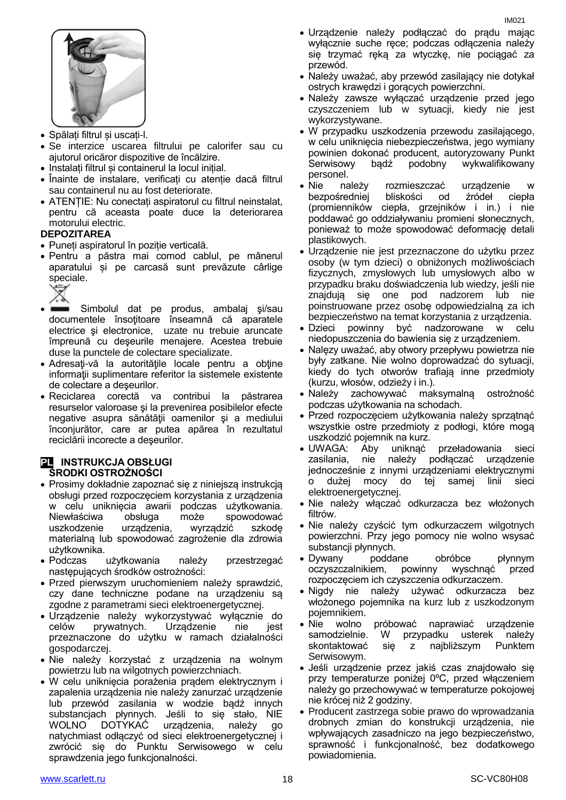

- Spălați filtrul și uscați-l.
- Se interzice uscarea filtrului pe calorifer sau cu ajutorul oricăror dispozitive de încălzire.
- Instalați filtrul și containerul la locul inițial.
- Înainte de instalare, verificați cu atenție dacă filtrul sau containerul nu au fost deteriorate.
- ATENȚIE: Nu conectați aspiratorul cu filtrul neinstalat, pentru că aceasta poate duce la deteriorarea motorului electric.

#### **DEPOZITAREA**

- Puneți aspiratorul în poziție verticală.
- Pentru a păstra mai comod cablul, pe mânerul aparatului și pe carcasă sunt prevăzute cârlige speciale.

▽ へ

- Simbolul dat pe produs, ambalaj şi/sau documentele însoţitoare înseamnă că aparatele electrice şi electronice, uzate nu trebuie aruncate împreună cu deşeurile menajere. Acestea trebuie duse la punctele de colectare specializate.
- Adresaţi-vă la autorităţile locale pentru a obţine informaţii suplimentare referitor la sistemele existente de colectare a deşeurilor.
- Reciclarea corectă va contribui la păstrarea resurselor valoroase şi la prevenirea posibilelor efecte negative asupra sănătăţii oamenilor şi a mediului înconjurător, care ar putea apărea în rezultatul reciclării incorecte a deşeurilor.

#### **PL INSTRUKCJA OBSŁUGI ŚRODKI OSTROŻNOŚCI**

- Prosimy dokładnie zapoznać się z niniejszą instrukcją obsługi przed rozpoczęciem korzystania z urządzenia w celu uniknięcia awarii podczas użytkowania. Niewłaściwa obsługa może spowodować uszkodzenie urządzenia, wyrządzić szkodę materialną lub spowodować zagrożenie dla zdrowia użytkownika.
- Podczas użytkowania należy przestrzegać następujących środków ostrożności:
- Przed pierwszym uruchomieniem należy sprawdzić, czy dane techniczne podane na urządzeniu są zgodne z parametrami sieci elektroenergetycznej.
- Urządzenie należy wykorzystywać wyłącznie do celów prywatnych. Urządzenie nie jest przeznaczone do użytku w ramach działalności gospodarczej.
- Nie należy korzystać z urządzenia na wolnym powietrzu lub na wilgotnych powierzchniach.
- W celu uniknięcia porażenia prądem elektrycznym i zapalenia urządzenia nie należy zanurzać urządzenie lub przewód zasilania w wodzie bądź innych substancjach płynnych. Jeśli to się stało, NIE WOLNO DOTYKAĆ urządzenia, należy go natychmiast odłączyć od sieci elektroenergetycznej i zwrócić się do Punktu Serwisowego w celu sprawdzenia jego funkcjonalności.
- Urządzenie należy podłączać do prądu mając wyłącznie suche ręce; podczas odłączenia należy się trzymać ręką za wtyczkę, nie pociągać za przewód.
- Należy uważać, aby przewód zasilający nie dotykał ostrych krawędzi i gorących powierzchni.
- Należy zawsze wyłączać urządzenie przed jego czyszczeniem lub w sytuacji, kiedy nie jest wykorzystywane.
- W przypadku uszkodzenia przewodu zasilającego, w celu uniknięcia niebezpieczeństwa, jego wymiany powinien dokonać producent, autoryzowany Punkt Serwisowy bądź podobny wykwalifikowany personel.
- Nie należy rozmieszczać urządzenie bezpośredniej bliskości od źródeł ciepła (promienników ciepła, grzejników i in.) i nie poddawać go oddziaływaniu promieni słonecznych, ponieważ to może spowodować deformację detali plastikowych.
- Urządzenie nie jest przeznaczone do użytku przez osoby (w tym dzieci) o obniżonych możliwościach fizycznych, zmysłowych lub umysłowych albo w przypadku braku doświadczenia lub wiedzy, jeśli nie znajdują się one pod nadzorem lub nie poinstruowane przez osobę odpowiedzialną za ich bezpieczeństwo na temat korzystania z urządzenia.
- Dzieci powinny być nadzorowane w celu niedopuszczenia do bawienia się z urządzeniem.
- Nalęzy uważać, aby otwory przepływu powietrza nie były zatkane. Nie wolno doprowadzać do sytuacji, kiedy do tych otworów trafiają inne przedmioty (kurzu, włosów, odzieży i in.).
- Należy zachowywać maksymalną ostrożność podczas użytkowania na schodach.
- Przed rozpoczęciem użytkowania należy sprzątnąć wszystkie ostre przedmioty z podłogi, które mogą uszkodzić pojemnik na kurz.
- UWAGA: Aby uniknąć przeładowania sieci zasilania, nie należy podłączać urządzenie jednocześnie z innymi urządzeniami elektrycznymi o dużej mocy do tej samej linii sieci elektroenergetycznej.
- Nie należy włączać odkurzacza bez włożonych filtrów.
- Nie należy czyścić tym odkurzaczem wilgotnych powierzchni. Przy jego pomocy nie wolno wsysać substancji płynnych.
- Dywany poddane obróbce płynnym oczyszczalnikiem, powinny wyschnąć przed rozpoczęciem ich czyszczenia odkurzaczem.
- Nigdy nie należy używać odkurzacza bez włożonego pojemnika na kurz lub z uszkodzonym pojemnikiem.
- Nie wolno próbować naprawiać urządzenie samodzielnie. W przypadku usterek należy skontaktować się z najbliższym Punktem Serwisowym.
- Jeśli urządzenie przez jakiś czas znajdowało się przy temperaturze poniżej 0ºC, przed włączeniem należy go przechowywać w temperaturze pokojowej nie krócej niż 2 godziny.
- Producent zastrzega sobie prawo do wprowadzania drobnych zmian do konstrukcji urządzenia, nie wpływających zasadniczo na jego bezpieczeństwo, sprawność i funkcjonalność, bez dodatkowego powiadomienia.